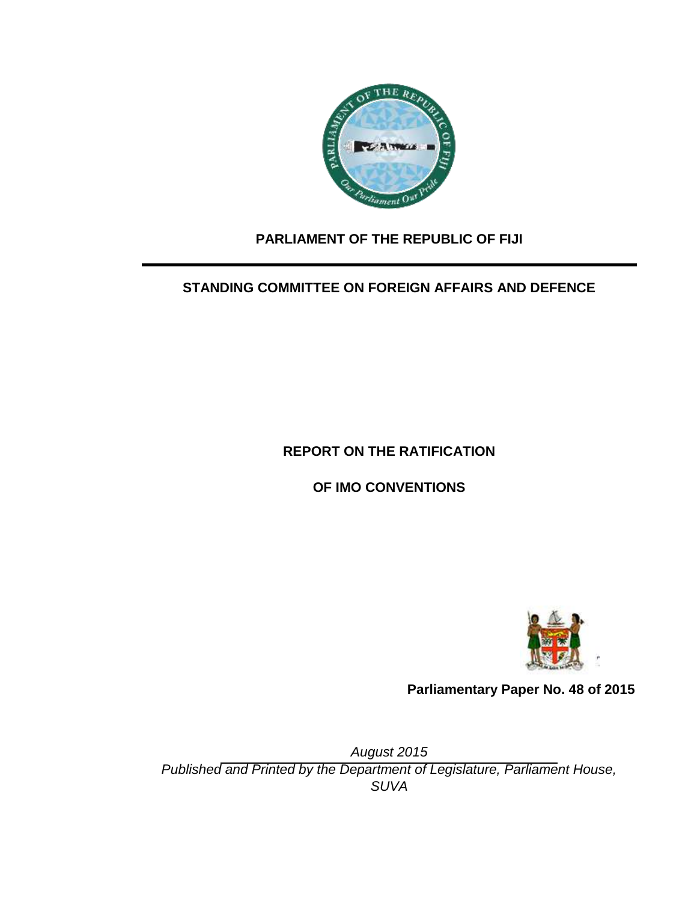

# **PARLIAMENT OF THE REPUBLIC OF FIJI**

# **STANDING COMMITTEE ON FOREIGN AFFAIRS AND DEFENCE**

# **REPORT ON THE RATIFICATION**

**OF IMO CONVENTIONS**



**Parliamentary Paper No. 48 of 2015**

*August 2015 Published and Printed by the Department of Legislature, Parliament House, SUVA*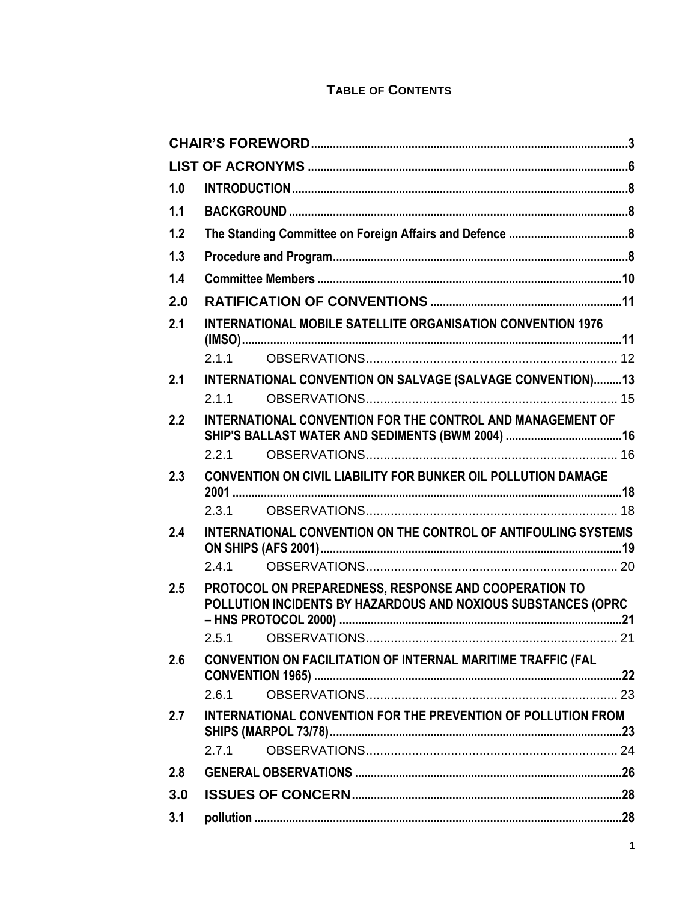# **TABLE OF CONTENTS**

| 1.0 |                                                                                                                        |  |  |  |  |  |
|-----|------------------------------------------------------------------------------------------------------------------------|--|--|--|--|--|
| 1.1 |                                                                                                                        |  |  |  |  |  |
| 1.2 |                                                                                                                        |  |  |  |  |  |
| 1.3 |                                                                                                                        |  |  |  |  |  |
| 1.4 |                                                                                                                        |  |  |  |  |  |
| 2.0 |                                                                                                                        |  |  |  |  |  |
| 2.1 | <b>INTERNATIONAL MOBILE SATELLITE ORGANISATION CONVENTION 1976</b>                                                     |  |  |  |  |  |
|     | 2.1.1                                                                                                                  |  |  |  |  |  |
| 2.1 | INTERNATIONAL CONVENTION ON SALVAGE (SALVAGE CONVENTION)13<br>2.1.1                                                    |  |  |  |  |  |
| 2.2 | INTERNATIONAL CONVENTION FOR THE CONTROL AND MANAGEMENT OF                                                             |  |  |  |  |  |
|     | 2.2.1                                                                                                                  |  |  |  |  |  |
| 2.3 | <b>CONVENTION ON CIVIL LIABILITY FOR BUNKER OIL POLLUTION DAMAGE</b>                                                   |  |  |  |  |  |
|     | 2.3.1                                                                                                                  |  |  |  |  |  |
| 2.4 | INTERNATIONAL CONVENTION ON THE CONTROL OF ANTIFOULING SYSTEMS                                                         |  |  |  |  |  |
|     | 2.4.1                                                                                                                  |  |  |  |  |  |
| 2.5 | PROTOCOL ON PREPAREDNESS, RESPONSE AND COOPERATION TO<br>POLLUTION INCIDENTS BY HAZARDOUS AND NOXIOUS SUBSTANCES (OPRC |  |  |  |  |  |
|     | 2.5.1                                                                                                                  |  |  |  |  |  |
| 2.6 | CONVENTION ON FACILITATION OF INTERNAL MARITIME TRAFFIC (FAL                                                           |  |  |  |  |  |
|     | 2.6.1                                                                                                                  |  |  |  |  |  |
| 2.7 | INTERNATIONAL CONVENTION FOR THE PREVENTION OF POLLUTION FROM                                                          |  |  |  |  |  |
|     | 2.7.1                                                                                                                  |  |  |  |  |  |
| 2.8 |                                                                                                                        |  |  |  |  |  |
| 3.0 |                                                                                                                        |  |  |  |  |  |
| 3.1 |                                                                                                                        |  |  |  |  |  |
|     |                                                                                                                        |  |  |  |  |  |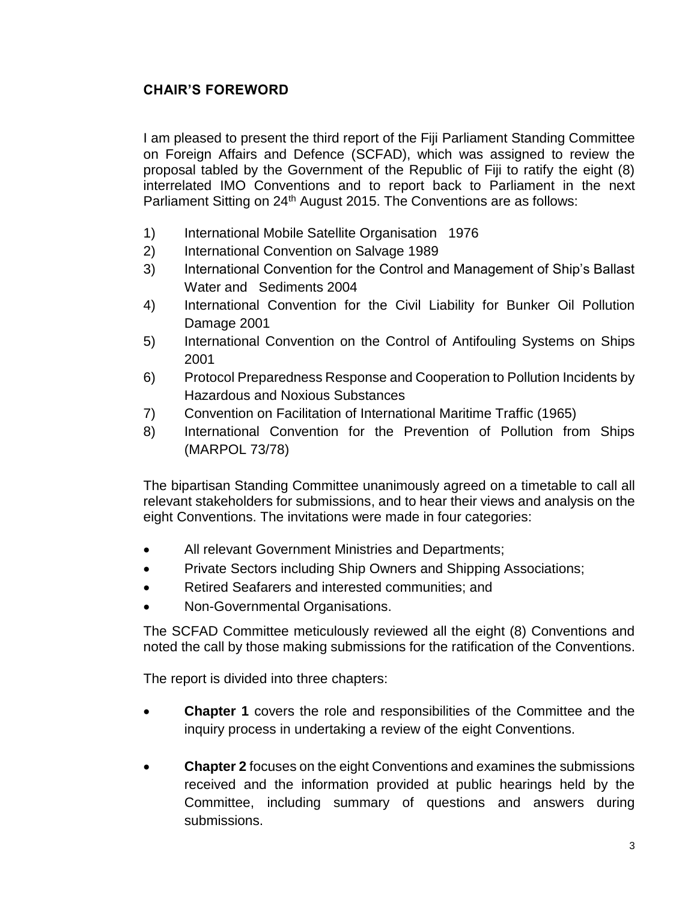# <span id="page-3-0"></span>**CHAIR'S FOREWORD**

I am pleased to present the third report of the Fiji Parliament Standing Committee on Foreign Affairs and Defence (SCFAD), which was assigned to review the proposal tabled by the Government of the Republic of Fiji to ratify the eight (8) interrelated IMO Conventions and to report back to Parliament in the next Parliament Sitting on 24<sup>th</sup> August 2015. The Conventions are as follows:

- 1) International Mobile Satellite Organisation 1976
- 2) International Convention on Salvage 1989
- 3) International Convention for the Control and Management of Ship's Ballast Water and Sediments 2004
- 4) International Convention for the Civil Liability for Bunker Oil Pollution Damage 2001
- 5) International Convention on the Control of Antifouling Systems on Ships 2001
- 6) Protocol Preparedness Response and Cooperation to Pollution Incidents by Hazardous and Noxious Substances
- 7) Convention on Facilitation of International Maritime Traffic (1965)
- 8) International Convention for the Prevention of Pollution from Ships (MARPOL 73/78)

The bipartisan Standing Committee unanimously agreed on a timetable to call all relevant stakeholders for submissions, and to hear their views and analysis on the eight Conventions. The invitations were made in four categories:

- All relevant Government Ministries and Departments;
- Private Sectors including Ship Owners and Shipping Associations;
- Retired Seafarers and interested communities; and
- Non-Governmental Organisations.

The SCFAD Committee meticulously reviewed all the eight (8) Conventions and noted the call by those making submissions for the ratification of the Conventions.

The report is divided into three chapters:

- **Chapter 1** covers the role and responsibilities of the Committee and the inquiry process in undertaking a review of the eight Conventions.
- **Chapter 2** focuses on the eight Conventions and examines the submissions received and the information provided at public hearings held by the Committee, including summary of questions and answers during submissions.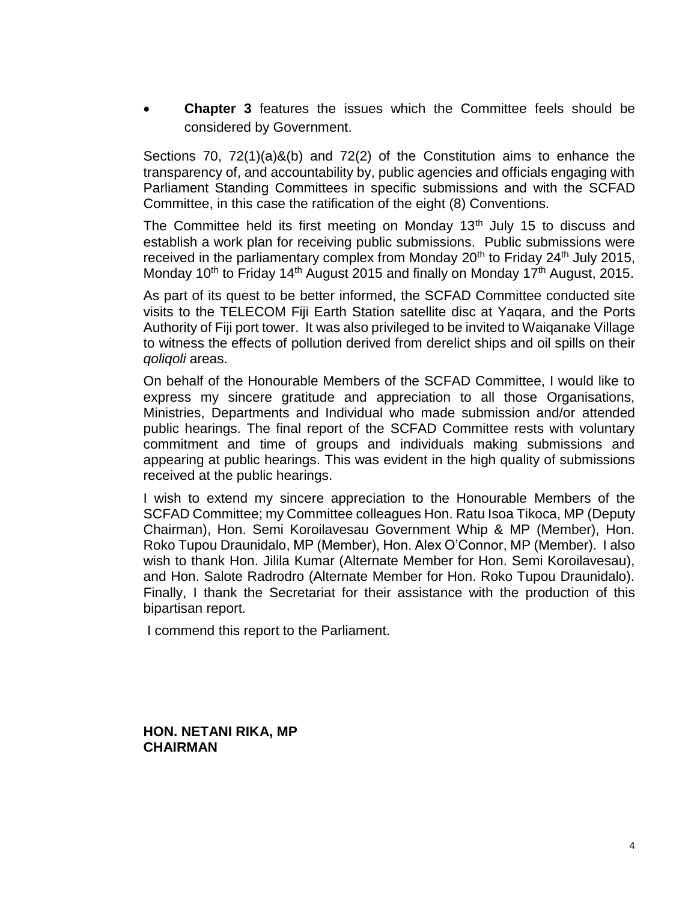**Chapter 3** features the issues which the Committee feels should be considered by Government.

Sections 70, 72(1)(a)&(b) and 72(2) of the Constitution aims to enhance the transparency of, and accountability by, public agencies and officials engaging with Parliament Standing Committees in specific submissions and with the SCFAD Committee, in this case the ratification of the eight (8) Conventions.

The Committee held its first meeting on Monday  $13<sup>th</sup>$  July 15 to discuss and establish a work plan for receiving public submissions. Public submissions were received in the parliamentary complex from Monday  $20<sup>th</sup>$  to Friday  $24<sup>th</sup>$  July 2015, Monday 10<sup>th</sup> to Friday 14<sup>th</sup> August 2015 and finally on Monday 17<sup>th</sup> August, 2015.

As part of its quest to be better informed, the SCFAD Committee conducted site visits to the TELECOM Fiji Earth Station satellite disc at Yaqara, and the Ports Authority of Fiji port tower. It was also privileged to be invited to Waiqanake Village to witness the effects of pollution derived from derelict ships and oil spills on their *qoliqoli* areas.

On behalf of the Honourable Members of the SCFAD Committee, I would like to express my sincere gratitude and appreciation to all those Organisations, Ministries, Departments and Individual who made submission and/or attended public hearings. The final report of the SCFAD Committee rests with voluntary commitment and time of groups and individuals making submissions and appearing at public hearings. This was evident in the high quality of submissions received at the public hearings.

I wish to extend my sincere appreciation to the Honourable Members of the SCFAD Committee; my Committee colleagues Hon. Ratu Isoa Tikoca, MP (Deputy Chairman), Hon. Semi Koroilavesau Government Whip & MP (Member), Hon. Roko Tupou Draunidalo, MP (Member), Hon. Alex O'Connor, MP (Member). I also wish to thank Hon. Jilila Kumar (Alternate Member for Hon. Semi Koroilavesau), and Hon. Salote Radrodro (Alternate Member for Hon. Roko Tupou Draunidalo). Finally, I thank the Secretariat for their assistance with the production of this bipartisan report.

I commend this report to the Parliament.

**HON. NETANI RIKA, MP CHAIRMAN**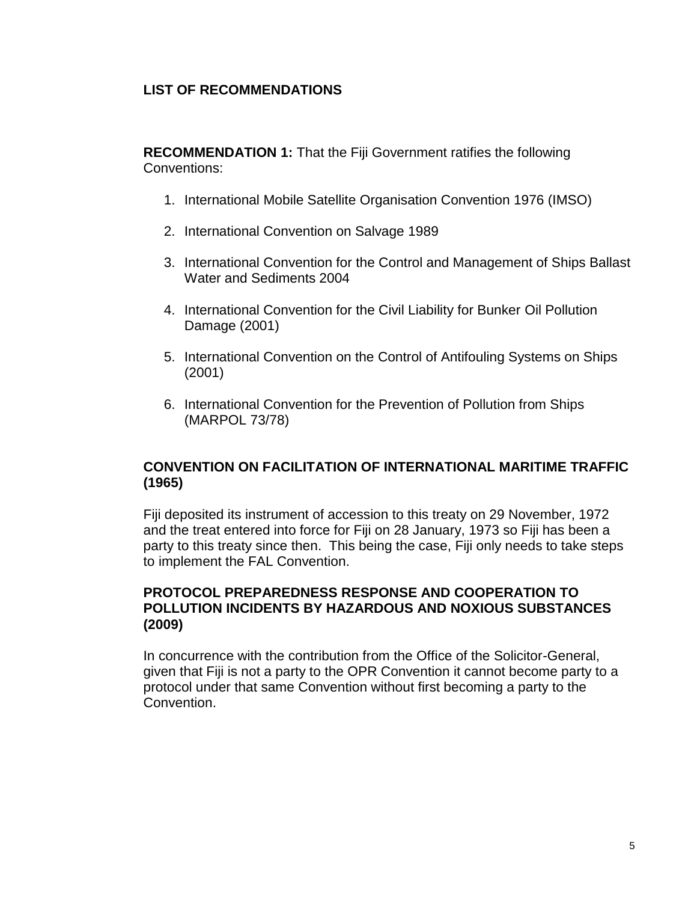## **LIST OF RECOMMENDATIONS**

**RECOMMENDATION 1:** That the Fiji Government ratifies the following Conventions:

- 1. International Mobile Satellite Organisation Convention 1976 (IMSO)
- 2. International Convention on Salvage 1989
- 3. International Convention for the Control and Management of Ships Ballast Water and Sediments 2004
- 4. International Convention for the Civil Liability for Bunker Oil Pollution Damage (2001)
- 5. International Convention on the Control of Antifouling Systems on Ships (2001)
- 6. International Convention for the Prevention of Pollution from Ships (MARPOL 73/78)

## **CONVENTION ON FACILITATION OF INTERNATIONAL MARITIME TRAFFIC (1965)**

Fiji deposited its instrument of accession to this treaty on 29 November, 1972 and the treat entered into force for Fiji on 28 January, 1973 so Fiji has been a party to this treaty since then. This being the case, Fiji only needs to take steps to implement the FAL Convention.

### **PROTOCOL PREPAREDNESS RESPONSE AND COOPERATION TO POLLUTION INCIDENTS BY HAZARDOUS AND NOXIOUS SUBSTANCES (2009)**

In concurrence with the contribution from the Office of the Solicitor-General, given that Fiji is not a party to the OPR Convention it cannot become party to a protocol under that same Convention without first becoming a party to the Convention.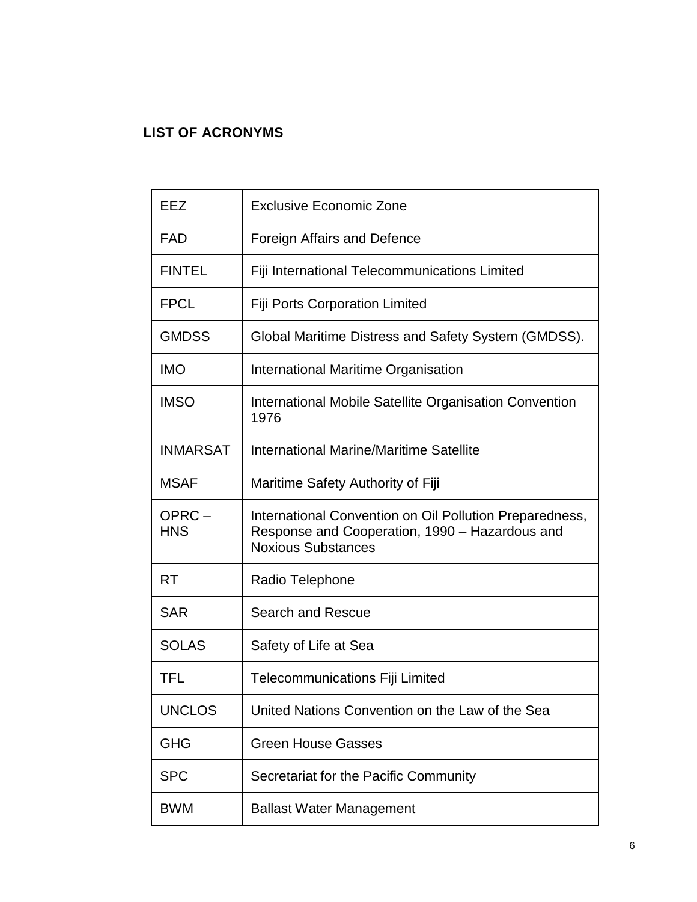# <span id="page-6-0"></span>**LIST OF ACRONYMS**

| EEZ                 | <b>Exclusive Economic Zone</b>                                                                                                         |  |  |  |  |
|---------------------|----------------------------------------------------------------------------------------------------------------------------------------|--|--|--|--|
| FAD                 | Foreign Affairs and Defence                                                                                                            |  |  |  |  |
| <b>FINTEL</b>       | Fiji International Telecommunications Limited                                                                                          |  |  |  |  |
| <b>FPCL</b>         | <b>Fiji Ports Corporation Limited</b>                                                                                                  |  |  |  |  |
| <b>GMDSS</b>        | Global Maritime Distress and Safety System (GMDSS).                                                                                    |  |  |  |  |
| <b>IMO</b>          | <b>International Maritime Organisation</b>                                                                                             |  |  |  |  |
| <b>IMSO</b>         | International Mobile Satellite Organisation Convention<br>1976                                                                         |  |  |  |  |
| <b>INMARSAT</b>     | International Marine/Maritime Satellite                                                                                                |  |  |  |  |
| <b>MSAF</b>         | Maritime Safety Authority of Fiji                                                                                                      |  |  |  |  |
| OPRC-<br><b>HNS</b> | International Convention on Oil Pollution Preparedness,<br>Response and Cooperation, 1990 - Hazardous and<br><b>Noxious Substances</b> |  |  |  |  |
| <b>RT</b>           | Radio Telephone                                                                                                                        |  |  |  |  |
| <b>SAR</b>          | Search and Rescue                                                                                                                      |  |  |  |  |
| <b>SOLAS</b>        | Safety of Life at Sea                                                                                                                  |  |  |  |  |
| TFL                 | <b>Telecommunications Fiji Limited</b>                                                                                                 |  |  |  |  |
| <b>UNCLOS</b>       | United Nations Convention on the Law of the Sea                                                                                        |  |  |  |  |
| <b>GHG</b>          | <b>Green House Gasses</b>                                                                                                              |  |  |  |  |
| <b>SPC</b>          | Secretariat for the Pacific Community                                                                                                  |  |  |  |  |
| <b>BWM</b>          | <b>Ballast Water Management</b>                                                                                                        |  |  |  |  |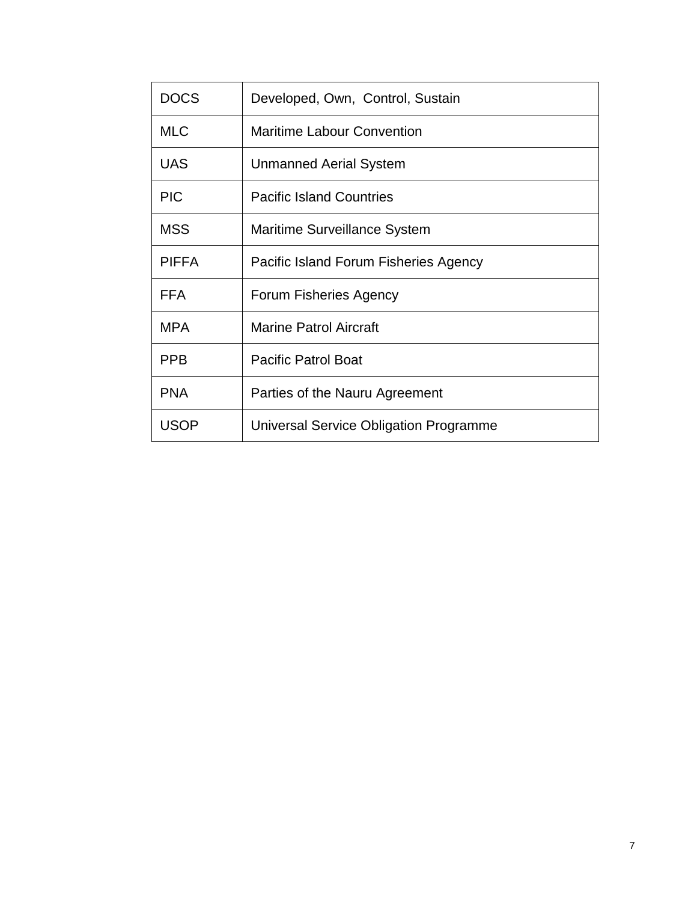| <b>DOCS</b>  | Developed, Own, Control, Sustain              |  |  |  |
|--------------|-----------------------------------------------|--|--|--|
| <b>MLC</b>   | <b>Maritime Labour Convention</b>             |  |  |  |
| <b>UAS</b>   | Unmanned Aerial System                        |  |  |  |
| <b>PIC</b>   | <b>Pacific Island Countries</b>               |  |  |  |
| <b>MSS</b>   | Maritime Surveillance System                  |  |  |  |
| <b>PIFFA</b> | Pacific Island Forum Fisheries Agency         |  |  |  |
| <b>FFA</b>   | <b>Forum Fisheries Agency</b>                 |  |  |  |
| <b>MPA</b>   | <b>Marine Patrol Aircraft</b>                 |  |  |  |
| <b>PPB</b>   | <b>Pacific Patrol Boat</b>                    |  |  |  |
| <b>PNA</b>   | Parties of the Nauru Agreement                |  |  |  |
| USOP         | <b>Universal Service Obligation Programme</b> |  |  |  |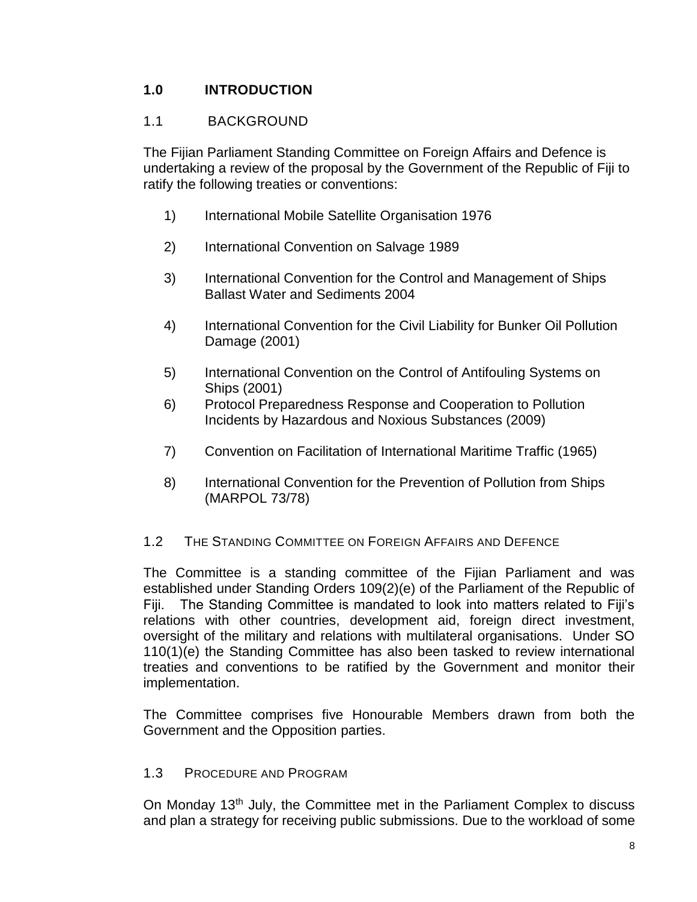# <span id="page-8-0"></span>**1.0 INTRODUCTION**

# <span id="page-8-1"></span>1.1 BACKGROUND

The Fijian Parliament Standing Committee on Foreign Affairs and Defence is undertaking a review of the proposal by the Government of the Republic of Fiji to ratify the following treaties or conventions:

- 1) International Mobile Satellite Organisation 1976
- 2) International Convention on Salvage 1989
- 3) International Convention for the Control and Management of Ships Ballast Water and Sediments 2004
- 4) International Convention for the Civil Liability for Bunker Oil Pollution Damage (2001)
- 5) International Convention on the Control of Antifouling Systems on Ships (2001)
- 6) Protocol Preparedness Response and Cooperation to Pollution Incidents by Hazardous and Noxious Substances (2009)
- 7) Convention on Facilitation of International Maritime Traffic (1965)
- 8) International Convention for the Prevention of Pollution from Ships (MARPOL 73/78)

## <span id="page-8-2"></span>1.2 THE STANDING COMMITTEE ON FOREIGN AFFAIRS AND DEFENCE

The Committee is a standing committee of the Fijian Parliament and was established under Standing Orders 109(2)(e) of the Parliament of the Republic of Fiji. The Standing Committee is mandated to look into matters related to Fiji's relations with other countries, development aid, foreign direct investment, oversight of the military and relations with multilateral organisations. Under SO 110(1)(e) the Standing Committee has also been tasked to review international treaties and conventions to be ratified by the Government and monitor their implementation.

The Committee comprises five Honourable Members drawn from both the Government and the Opposition parties.

### <span id="page-8-3"></span>1.3 PROCEDURE AND PROGRAM

On Monday 13<sup>th</sup> July, the Committee met in the Parliament Complex to discuss and plan a strategy for receiving public submissions. Due to the workload of some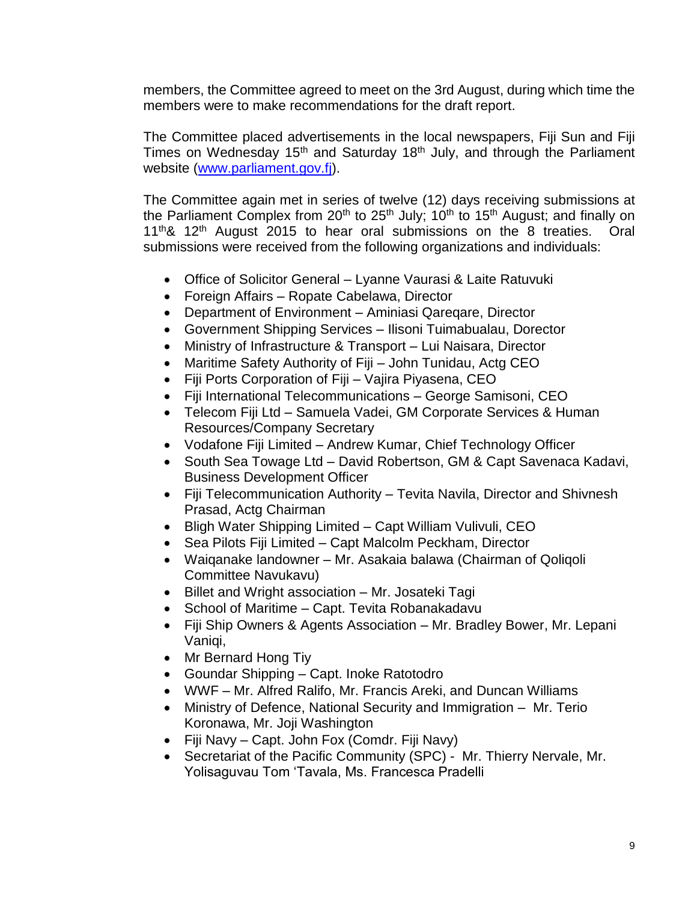members, the Committee agreed to meet on the 3rd August, during which time the members were to make recommendations for the draft report.

The Committee placed advertisements in the local newspapers, Fiji Sun and Fiji Times on Wednesday 15<sup>th</sup> and Saturday 18<sup>th</sup> July, and through the Parliament website [\(www.parliament.gov.fj\)](http://www.parliament.gov.fj/).

The Committee again met in series of twelve (12) days receiving submissions at the Parliament Complex from  $20<sup>th</sup>$  to  $25<sup>th</sup>$  July;  $10<sup>th</sup>$  to  $15<sup>th</sup>$  August; and finally on  $11<sup>th</sup>$ &  $12<sup>th</sup>$  August 2015 to hear oral submissions on the 8 treaties. Oral submissions were received from the following organizations and individuals:

- Office of Solicitor General Lyanne Vaurasi & Laite Ratuvuki
- Foreign Affairs Ropate Cabelawa, Director
- Department of Environment Aminiasi Qareqare, Director
- Government Shipping Services Ilisoni Tuimabualau, Dorector
- Ministry of Infrastructure & Transport Lui Naisara, Director
- Maritime Safety Authority of Fiji John Tunidau, Actg CEO
- Fiji Ports Corporation of Fiji Vajira Piyasena, CEO
- Fiji International Telecommunications George Samisoni, CEO
- Telecom Fiji Ltd Samuela Vadei, GM Corporate Services & Human Resources/Company Secretary
- Vodafone Fiji Limited Andrew Kumar, Chief Technology Officer
- South Sea Towage Ltd David Robertson, GM & Capt Savenaca Kadavi, Business Development Officer
- Fiji Telecommunication Authority Tevita Navila, Director and Shivnesh Prasad, Actg Chairman
- Bligh Water Shipping Limited Capt William Vulivuli, CEO
- Sea Pilots Fiji Limited Capt Malcolm Peckham, Director
- Waiqanake landowner Mr. Asakaia balawa (Chairman of Qoliqoli Committee Navukavu)
- Billet and Wright association Mr. Josateki Tagi
- School of Maritime Capt. Tevita Robanakadavu
- Fiji Ship Owners & Agents Association Mr. Bradley Bower, Mr. Lepani Vanigi.
- Mr Bernard Hong Tiy
- Goundar Shipping Capt. Inoke Ratotodro
- WWF Mr. Alfred Ralifo, Mr. Francis Areki, and Duncan Williams
- Ministry of Defence, National Security and Immigration Mr. Terio Koronawa, Mr. Joji Washington
- Fiji Navy Capt. John Fox (Comdr. Fiji Navy)
- Secretariat of the Pacific Community (SPC) Mr. Thierry Nervale, Mr. Yolisaguvau Tom 'Tavala, Ms. Francesca Pradelli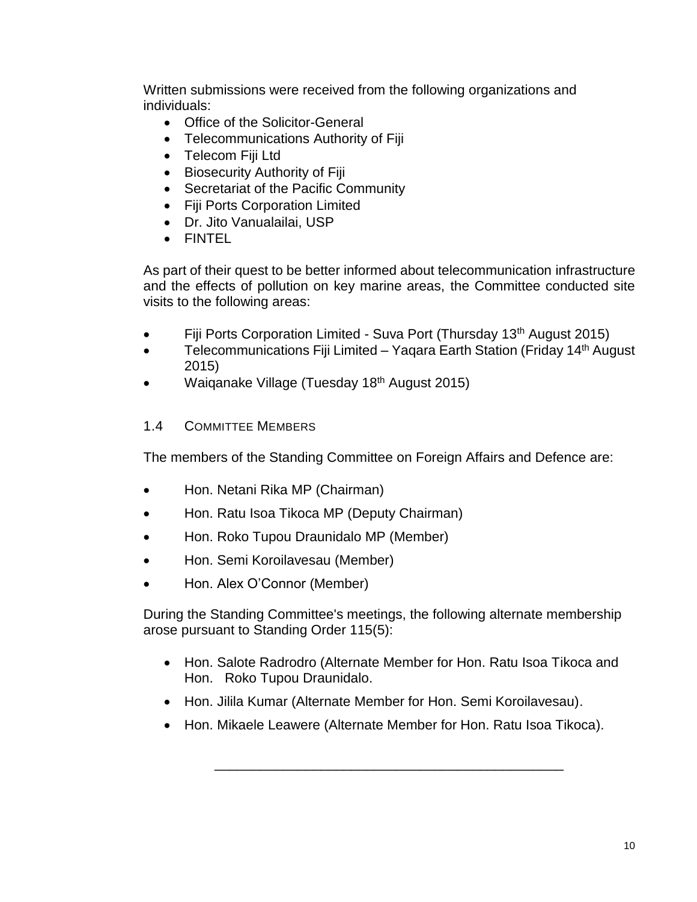Written submissions were received from the following organizations and individuals:

- Office of the Solicitor-General
- Telecommunications Authority of Fiji
- Telecom Fiji Ltd
- Biosecurity Authority of Fiji
- Secretariat of the Pacific Community
- Fiji Ports Corporation Limited
- Dr. Jito Vanualailai, USP
- FINTEL

As part of their quest to be better informed about telecommunication infrastructure and the effects of pollution on key marine areas, the Committee conducted site visits to the following areas:

- Fiji Ports Corporation Limited Suva Port (Thursday 13<sup>th</sup> August 2015)
- Telecommunications Fiji Limited Yaqara Earth Station (Friday 14<sup>th</sup> August 2015)
- <span id="page-10-0"></span>• Waiganake Village (Tuesday 18<sup>th</sup> August 2015)

### 1.4 COMMITTEE MEMBERS

The members of the Standing Committee on Foreign Affairs and Defence are:

- Hon. Netani Rika MP (Chairman)
- Hon. Ratu Isoa Tikoca MP (Deputy Chairman)
- Hon. Roko Tupou Draunidalo MP (Member)
- Hon. Semi Koroilavesau (Member)
- Hon. Alex O'Connor (Member)

During the Standing Committee's meetings, the following alternate membership arose pursuant to Standing Order 115(5):

- Hon. Salote Radrodro (Alternate Member for Hon. Ratu Isoa Tikoca and Hon. Roko Tupou Draunidalo.
- Hon. Jilila Kumar (Alternate Member for Hon. Semi Koroilavesau).
- Hon. Mikaele Leawere (Alternate Member for Hon. Ratu Isoa Tikoca).

\_\_\_\_\_\_\_\_\_\_\_\_\_\_\_\_\_\_\_\_\_\_\_\_\_\_\_\_\_\_\_\_\_\_\_\_\_\_\_\_\_\_\_\_\_\_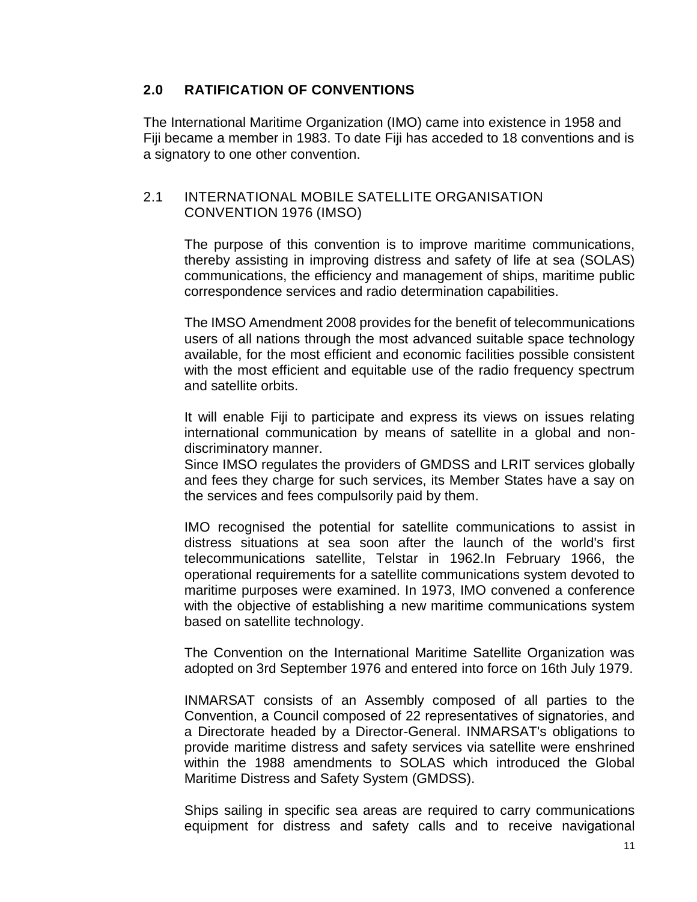### <span id="page-11-0"></span>**2.0 RATIFICATION OF CONVENTIONS**

The International Maritime Organization (IMO) came into existence in 1958 and Fiji became a member in 1983. To date Fiji has acceded to 18 conventions and is a signatory to one other convention.

### <span id="page-11-1"></span>2.1 INTERNATIONAL MOBILE SATELLITE ORGANISATION CONVENTION 1976 (IMSO)

The purpose of this convention is to improve maritime communications, thereby assisting in improving distress and safety of life at sea (SOLAS) communications, the efficiency and management of ships, maritime public correspondence services and radio determination capabilities.

The IMSO Amendment 2008 provides for the benefit of telecommunications users of all nations through the most advanced suitable space technology available, for the most efficient and economic facilities possible consistent with the most efficient and equitable use of the radio frequency spectrum and satellite orbits.

It will enable Fiji to participate and express its views on issues relating international communication by means of satellite in a global and nondiscriminatory manner.

Since IMSO regulates the providers of GMDSS and LRIT services globally and fees they charge for such services, its Member States have a say on the services and fees compulsorily paid by them.

IMO recognised the potential for satellite communications to assist in distress situations at sea soon after the launch of the world's first telecommunications satellite, Telstar in 1962.In February 1966, the operational requirements for a satellite communications system devoted to maritime purposes were examined. In 1973, IMO convened a conference with the objective of establishing a new maritime communications system based on satellite technology.

The Convention on the International Maritime Satellite Organization was adopted on 3rd September 1976 and entered into force on 16th July 1979.

INMARSAT consists of an Assembly composed of all parties to the Convention, a Council composed of 22 representatives of signatories, and a Directorate headed by a Director-General. INMARSAT's obligations to provide maritime distress and safety services via satellite were enshrined within the 1988 amendments to SOLAS which introduced the Global Maritime Distress and Safety System (GMDSS).

Ships sailing in specific sea areas are required to carry communications equipment for distress and safety calls and to receive navigational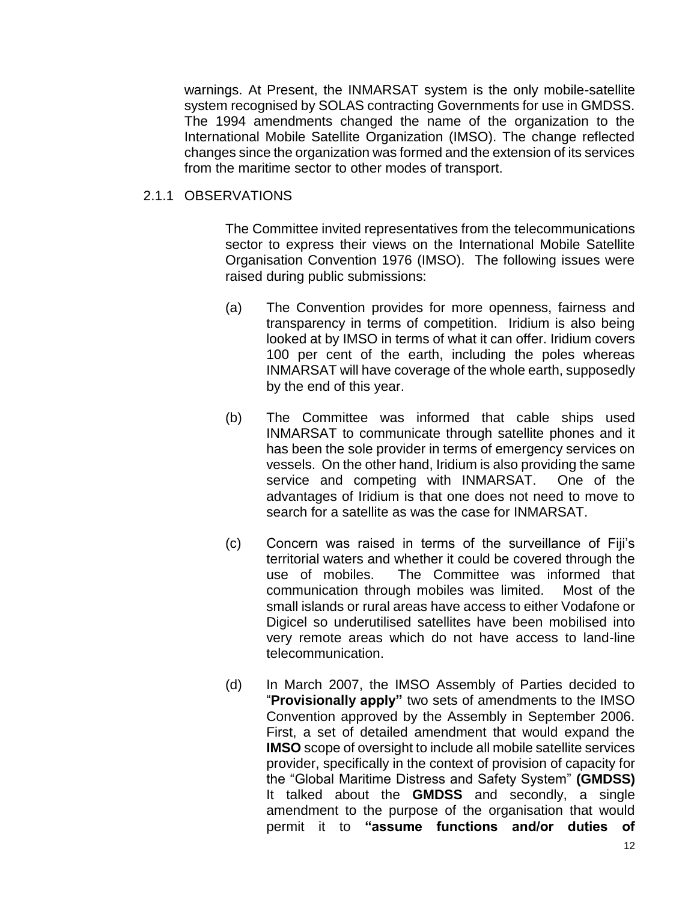warnings. At Present, the INMARSAT system is the only mobile-satellite system recognised by SOLAS contracting Governments for use in GMDSS. The 1994 amendments changed the name of the organization to the International Mobile Satellite Organization (IMSO). The change reflected changes since the organization was formed and the extension of its services from the maritime sector to other modes of transport.

#### <span id="page-12-0"></span>2.1.1 OBSERVATIONS

The Committee invited representatives from the telecommunications sector to express their views on the International Mobile Satellite Organisation Convention 1976 (IMSO). The following issues were raised during public submissions:

- (a) The Convention provides for more openness, fairness and transparency in terms of competition. Iridium is also being looked at by IMSO in terms of what it can offer. Iridium covers 100 per cent of the earth, including the poles whereas INMARSAT will have coverage of the whole earth, supposedly by the end of this year.
- (b) The Committee was informed that cable ships used INMARSAT to communicate through satellite phones and it has been the sole provider in terms of emergency services on vessels. On the other hand, Iridium is also providing the same service and competing with INMARSAT. One of the advantages of Iridium is that one does not need to move to search for a satellite as was the case for INMARSAT.
- (c) Concern was raised in terms of the surveillance of Fiji's territorial waters and whether it could be covered through the use of mobiles. The Committee was informed that communication through mobiles was limited. Most of the small islands or rural areas have access to either Vodafone or Digicel so underutilised satellites have been mobilised into very remote areas which do not have access to land-line telecommunication.
- (d) In March 2007, the IMSO Assembly of Parties decided to "**Provisionally apply"** two sets of amendments to the IMSO Convention approved by the Assembly in September 2006. First, a set of detailed amendment that would expand the **IMSO** scope of oversight to include all mobile satellite services provider, specifically in the context of provision of capacity for the "Global Maritime Distress and Safety System" **(GMDSS)** It talked about the **GMDSS** and secondly, a single amendment to the purpose of the organisation that would permit it to **"assume functions and/or duties of**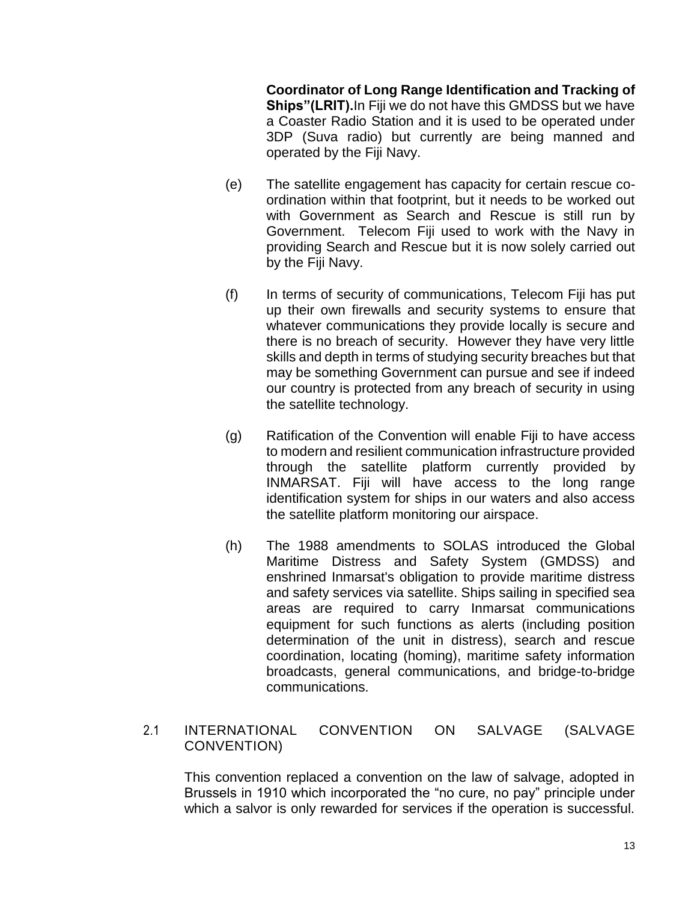**Coordinator of Long Range Identification and Tracking of Ships"(LRIT).**In Fiji we do not have this GMDSS but we have a Coaster Radio Station and it is used to be operated under 3DP (Suva radio) but currently are being manned and operated by the Fiji Navy.

- (e) The satellite engagement has capacity for certain rescue coordination within that footprint, but it needs to be worked out with Government as Search and Rescue is still run by Government. Telecom Fiji used to work with the Navy in providing Search and Rescue but it is now solely carried out by the Fiji Navy.
- (f) In terms of security of communications, Telecom Fiji has put up their own firewalls and security systems to ensure that whatever communications they provide locally is secure and there is no breach of security. However they have very little skills and depth in terms of studying security breaches but that may be something Government can pursue and see if indeed our country is protected from any breach of security in using the satellite technology.
- (g) Ratification of the Convention will enable Fiji to have access to modern and resilient communication infrastructure provided through the satellite platform currently provided by INMARSAT. Fiji will have access to the long range identification system for ships in our waters and also access the satellite platform monitoring our airspace.
- (h) The 1988 amendments to SOLAS introduced the Global Maritime Distress and Safety System (GMDSS) and enshrined Inmarsat's obligation to provide maritime distress and safety services via satellite. Ships sailing in specified sea areas are required to carry Inmarsat communications equipment for such functions as alerts (including position determination of the unit in distress), search and rescue coordination, locating (homing), maritime safety information broadcasts, general communications, and bridge-to-bridge communications.

### <span id="page-13-0"></span>2.1 INTERNATIONAL CONVENTION ON SALVAGE (SALVAGE CONVENTION)

This convention replaced a convention on the law of salvage, adopted in Brussels in 1910 which incorporated the "no cure, no pay" principle under which a salvor is only rewarded for services if the operation is successful.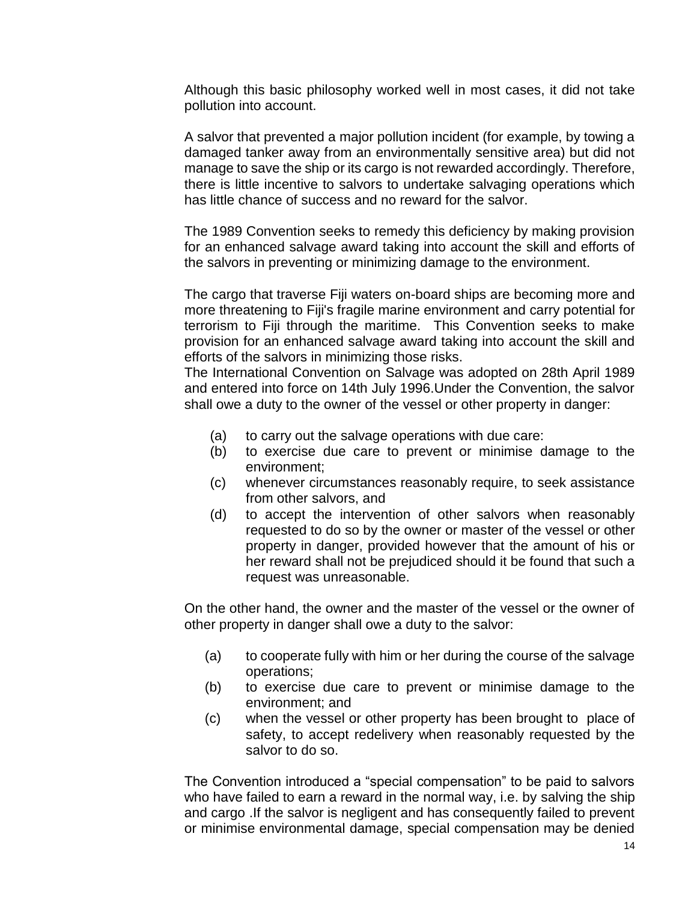Although this basic philosophy worked well in most cases, it did not take pollution into account.

A salvor that prevented a major pollution incident (for example, by towing a damaged tanker away from an environmentally sensitive area) but did not manage to save the ship or its cargo is not rewarded accordingly. Therefore, there is little incentive to salvors to undertake salvaging operations which has little chance of success and no reward for the salvor.

The 1989 Convention seeks to remedy this deficiency by making provision for an enhanced salvage award taking into account the skill and efforts of the salvors in preventing or minimizing damage to the environment.

The cargo that traverse Fiji waters on-board ships are becoming more and more threatening to Fiji's fragile marine environment and carry potential for terrorism to Fiji through the maritime. This Convention seeks to make provision for an enhanced salvage award taking into account the skill and efforts of the salvors in minimizing those risks.

The International Convention on Salvage was adopted on 28th April 1989 and entered into force on 14th July 1996.Under the Convention, the salvor shall owe a duty to the owner of the vessel or other property in danger:

- (a) to carry out the salvage operations with due care:
- (b) to exercise due care to prevent or minimise damage to the environment;
- (c) whenever circumstances reasonably require, to seek assistance from other salvors, and
- (d) to accept the intervention of other salvors when reasonably requested to do so by the owner or master of the vessel or other property in danger, provided however that the amount of his or her reward shall not be prejudiced should it be found that such a request was unreasonable.

On the other hand, the owner and the master of the vessel or the owner of other property in danger shall owe a duty to the salvor:

- (a) to cooperate fully with him or her during the course of the salvage operations;
- (b) to exercise due care to prevent or minimise damage to the environment; and
- (c) when the vessel or other property has been brought to place of safety, to accept redelivery when reasonably requested by the salvor to do so.

The Convention introduced a "special compensation" to be paid to salvors who have failed to earn a reward in the normal way, i.e. by salving the ship and cargo .If the salvor is negligent and has consequently failed to prevent or minimise environmental damage, special compensation may be denied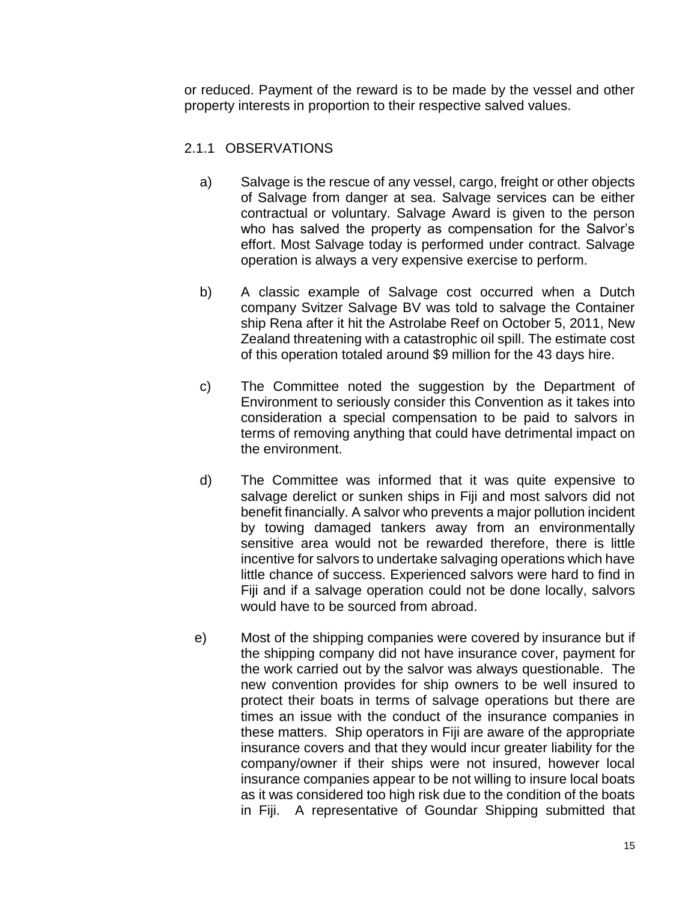or reduced. Payment of the reward is to be made by the vessel and other property interests in proportion to their respective salved values.

### <span id="page-15-0"></span>2.1.1 OBSERVATIONS

- a) Salvage is the rescue of any vessel, cargo, freight or other objects of Salvage from danger at sea. Salvage services can be either contractual or voluntary. Salvage Award is given to the person who has salved the property as compensation for the Salvor's effort. Most Salvage today is performed under contract. Salvage operation is always a very expensive exercise to perform.
- b) A classic example of Salvage cost occurred when a Dutch company Svitzer Salvage BV was told to salvage the Container ship Rena after it hit the Astrolabe Reef on October 5, 2011, New Zealand threatening with a catastrophic oil spill. The estimate cost of this operation totaled around \$9 million for the 43 days hire.
- c) The Committee noted the suggestion by the Department of Environment to seriously consider this Convention as it takes into consideration a special compensation to be paid to salvors in terms of removing anything that could have detrimental impact on the environment.
- d) The Committee was informed that it was quite expensive to salvage derelict or sunken ships in Fiji and most salvors did not benefit financially. A salvor who prevents a major pollution incident by towing damaged tankers away from an environmentally sensitive area would not be rewarded therefore, there is little incentive for salvors to undertake salvaging operations which have little chance of success. Experienced salvors were hard to find in Fiji and if a salvage operation could not be done locally, salvors would have to be sourced from abroad.
- e) Most of the shipping companies were covered by insurance but if the shipping company did not have insurance cover, payment for the work carried out by the salvor was always questionable. The new convention provides for ship owners to be well insured to protect their boats in terms of salvage operations but there are times an issue with the conduct of the insurance companies in these matters. Ship operators in Fiji are aware of the appropriate insurance covers and that they would incur greater liability for the company/owner if their ships were not insured, however local insurance companies appear to be not willing to insure local boats as it was considered too high risk due to the condition of the boats in Fiji. A representative of Goundar Shipping submitted that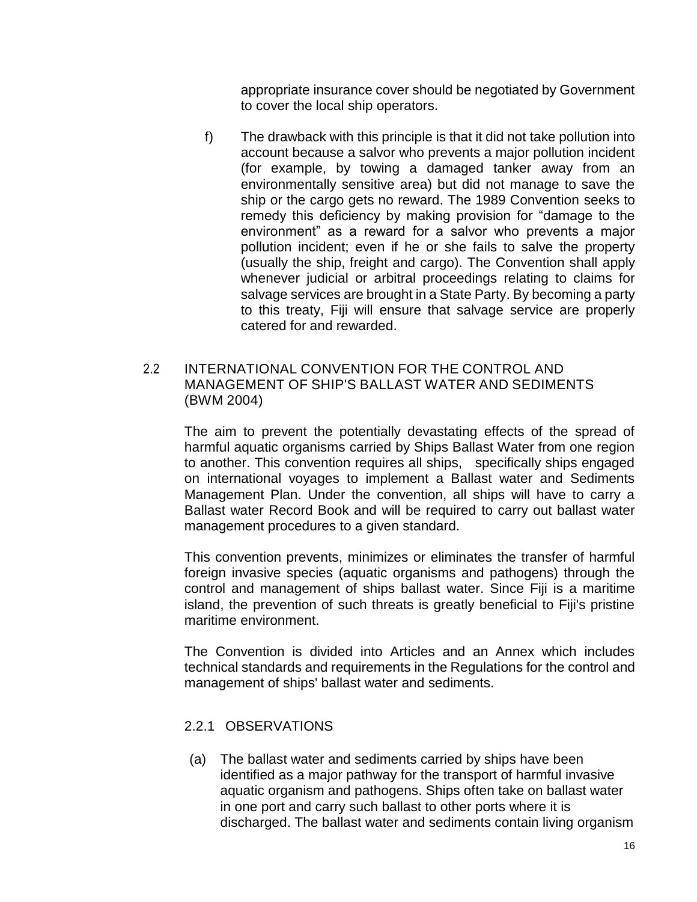appropriate insurance cover should be negotiated by Government to cover the local ship operators.

f) The drawback with this principle is that it did not take pollution into account because a salvor who prevents a major pollution incident (for example, by towing a damaged tanker away from an environmentally sensitive area) but did not manage to save the ship or the cargo gets no reward. The 1989 Convention seeks to remedy this deficiency by making provision for "damage to the environment" as a reward for a salvor who prevents a major pollution incident; even if he or she fails to salve the property (usually the ship, freight and cargo). The Convention shall apply whenever judicial or arbitral proceedings relating to claims for salvage services are brought in a State Party. By becoming a party to this treaty, Fiji will ensure that salvage service are properly catered for and rewarded.

### <span id="page-16-0"></span>2.2 INTERNATIONAL CONVENTION FOR THE CONTROL AND MANAGEMENT OF SHIP'S BALLAST WATER AND SEDIMENTS (BWM 2004)

The aim to prevent the potentially devastating effects of the spread of harmful aquatic organisms carried by Ships Ballast Water from one region to another. This convention requires all ships, specifically ships engaged on international voyages to implement a Ballast water and Sediments Management Plan. Under the convention, all ships will have to carry a Ballast water Record Book and will be required to carry out ballast water management procedures to a given standard.

This convention prevents, minimizes or eliminates the transfer of harmful foreign invasive species (aquatic organisms and pathogens) through the control and management of ships ballast water. Since Fiji is a maritime island, the prevention of such threats is greatly beneficial to Fiji's pristine maritime environment.

The Convention is divided into Articles and an Annex which includes technical standards and requirements in the Regulations for the control and management of ships' ballast water and sediments.

### <span id="page-16-1"></span>2.2.1 OBSERVATIONS

(a) The ballast water and sediments carried by ships have been identified as a major pathway for the transport of harmful invasive aquatic organism and pathogens. Ships often take on ballast water in one port and carry such ballast to other ports where it is discharged. The ballast water and sediments contain living organism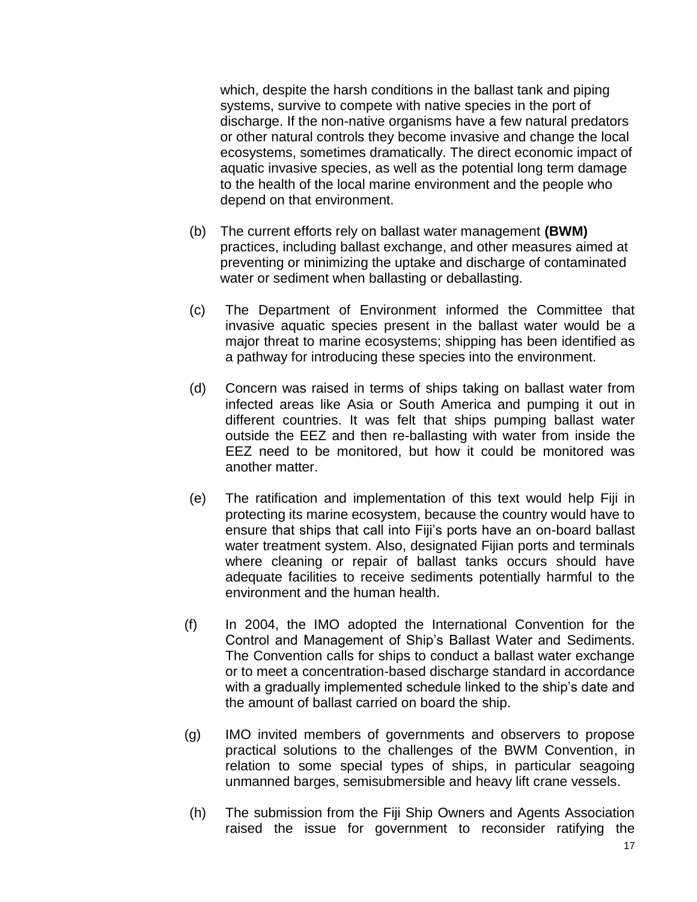which, despite the harsh conditions in the ballast tank and piping systems, survive to compete with native species in the port of discharge. If the non-native organisms have a few natural predators or other natural controls they become invasive and change the local ecosystems, sometimes dramatically. The direct economic impact of aquatic invasive species, as well as the potential long term damage to the health of the local marine environment and the people who depend on that environment.

- (b) The current efforts rely on ballast water management **(BWM)** practices, including ballast exchange, and other measures aimed at preventing or minimizing the uptake and discharge of contaminated water or sediment when ballasting or deballasting.
- (c) The Department of Environment informed the Committee that invasive aquatic species present in the ballast water would be a major threat to marine ecosystems; shipping has been identified as a pathway for introducing these species into the environment.
- (d) Concern was raised in terms of ships taking on ballast water from infected areas like Asia or South America and pumping it out in different countries. It was felt that ships pumping ballast water outside the EEZ and then re-ballasting with water from inside the EEZ need to be monitored, but how it could be monitored was another matter.
- (e) The ratification and implementation of this text would help Fiji in protecting its marine ecosystem, because the country would have to ensure that ships that call into Fiji's ports have an on-board ballast water treatment system. Also, designated Fijian ports and terminals where cleaning or repair of ballast tanks occurs should have adequate facilities to receive sediments potentially harmful to the environment and the human health.
- (f) In 2004, the IMO adopted the International Convention for the Control and Management of Ship's Ballast Water and Sediments. The Convention calls for ships to conduct a ballast water exchange or to meet a concentration-based discharge standard in accordance with a gradually implemented schedule linked to the ship's date and the amount of ballast carried on board the ship.
- (g) IMO invited members of governments and observers to propose practical solutions to the challenges of the BWM Convention, in relation to some special types of ships, in particular seagoing unmanned barges, semisubmersible and heavy lift crane vessels.
- (h) The submission from the Fiji Ship Owners and Agents Association raised the issue for government to reconsider ratifying the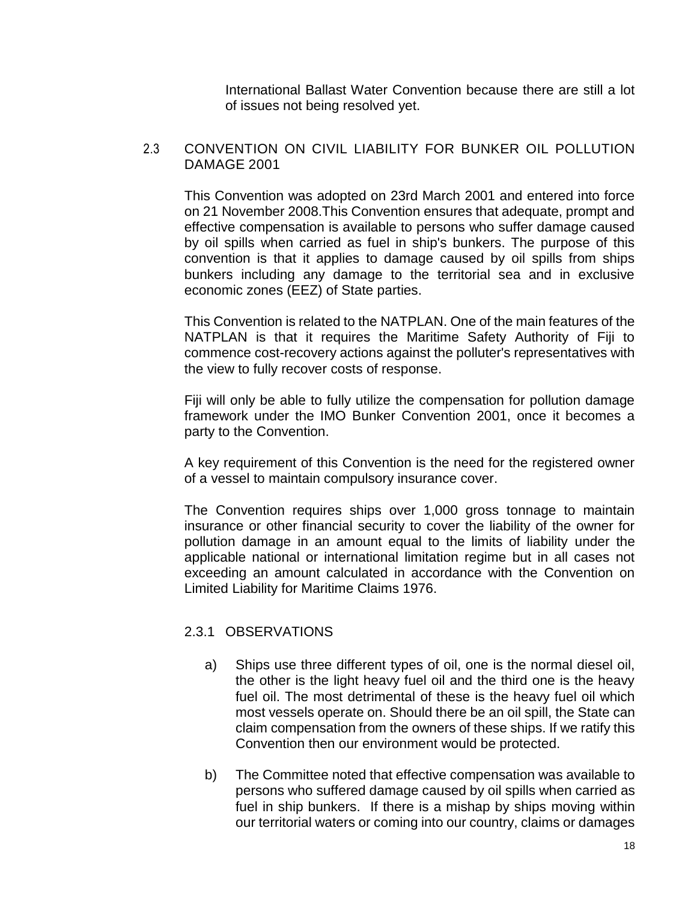International Ballast Water Convention because there are still a lot of issues not being resolved yet.

#### <span id="page-18-0"></span>2.3 CONVENTION ON CIVIL LIABILITY FOR BUNKER OIL POLLUTION DAMAGE 2001

This Convention was adopted on 23rd March 2001 and entered into force on 21 November 2008.This Convention ensures that adequate, prompt and effective compensation is available to persons who suffer damage caused by oil spills when carried as fuel in ship's bunkers. The purpose of this convention is that it applies to damage caused by oil spills from ships bunkers including any damage to the territorial sea and in exclusive economic zones (EEZ) of State parties.

This Convention is related to the NATPLAN. One of the main features of the NATPLAN is that it requires the Maritime Safety Authority of Fiji to commence cost-recovery actions against the polluter's representatives with the view to fully recover costs of response.

Fiji will only be able to fully utilize the compensation for pollution damage framework under the IMO Bunker Convention 2001, once it becomes a party to the Convention.

A key requirement of this Convention is the need for the registered owner of a vessel to maintain compulsory insurance cover.

The Convention requires ships over 1,000 gross tonnage to maintain insurance or other financial security to cover the liability of the owner for pollution damage in an amount equal to the limits of liability under the applicable national or international limitation regime but in all cases not exceeding an amount calculated in accordance with the Convention on Limited Liability for Maritime Claims 1976.

### <span id="page-18-1"></span>2.3.1 OBSERVATIONS

- a) Ships use three different types of oil, one is the normal diesel oil, the other is the light heavy fuel oil and the third one is the heavy fuel oil. The most detrimental of these is the heavy fuel oil which most vessels operate on. Should there be an oil spill, the State can claim compensation from the owners of these ships. If we ratify this Convention then our environment would be protected.
- b) The Committee noted that effective compensation was available to persons who suffered damage caused by oil spills when carried as fuel in ship bunkers. If there is a mishap by ships moving within our territorial waters or coming into our country, claims or damages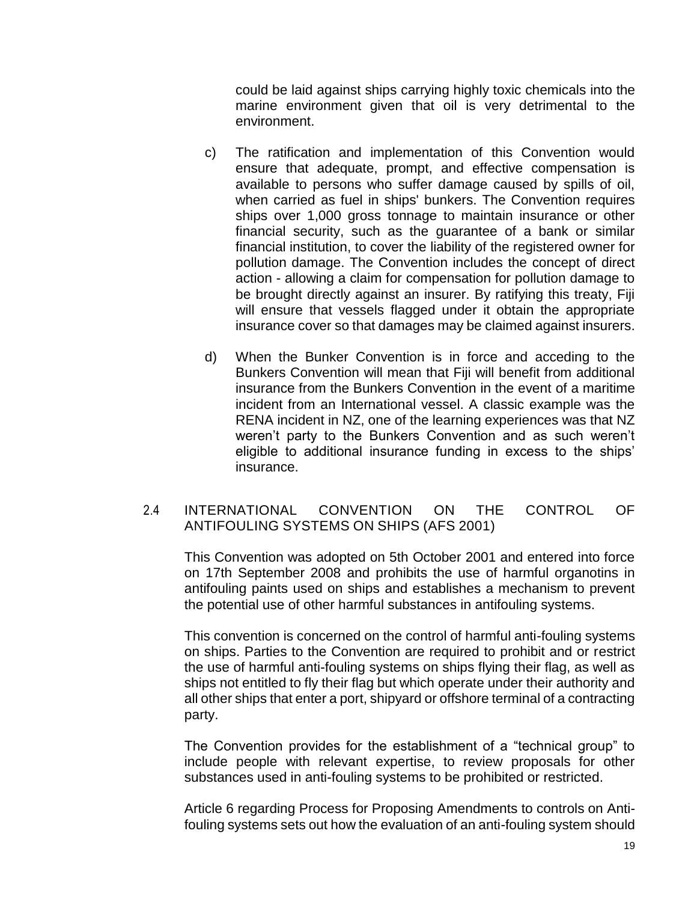could be laid against ships carrying highly toxic chemicals into the marine environment given that oil is very detrimental to the environment.

- c) The ratification and implementation of this Convention would ensure that adequate, prompt, and effective compensation is available to persons who suffer damage caused by spills of oil, when carried as fuel in ships' bunkers. The Convention requires ships over 1,000 gross tonnage to maintain insurance or other financial security, such as the guarantee of a bank or similar financial institution, to cover the liability of the registered owner for pollution damage. The Convention includes the concept of direct action - allowing a claim for compensation for pollution damage to be brought directly against an insurer. By ratifying this treaty, Fiji will ensure that vessels flagged under it obtain the appropriate insurance cover so that damages may be claimed against insurers.
- d) When the Bunker Convention is in force and acceding to the Bunkers Convention will mean that Fiji will benefit from additional insurance from the Bunkers Convention in the event of a maritime incident from an International vessel. A classic example was the RENA incident in NZ, one of the learning experiences was that NZ weren't party to the Bunkers Convention and as such weren't eligible to additional insurance funding in excess to the ships' insurance.

### <span id="page-19-0"></span>2.4 INTERNATIONAL CONVENTION ON THE CONTROL OF ANTIFOULING SYSTEMS ON SHIPS (AFS 2001)

This Convention was adopted on 5th October 2001 and entered into force on 17th September 2008 and prohibits the use of harmful organotins in antifouling paints used on ships and establishes a mechanism to prevent the potential use of other harmful substances in antifouling systems.

This convention is concerned on the control of harmful anti-fouling systems on ships. Parties to the Convention are required to prohibit and or restrict the use of harmful anti-fouling systems on ships flying their flag, as well as ships not entitled to fly their flag but which operate under their authority and all other ships that enter a port, shipyard or offshore terminal of a contracting party.

The Convention provides for the establishment of a "technical group" to include people with relevant expertise, to review proposals for other substances used in anti-fouling systems to be prohibited or restricted.

Article 6 regarding Process for Proposing Amendments to controls on Antifouling systems sets out how the evaluation of an anti-fouling system should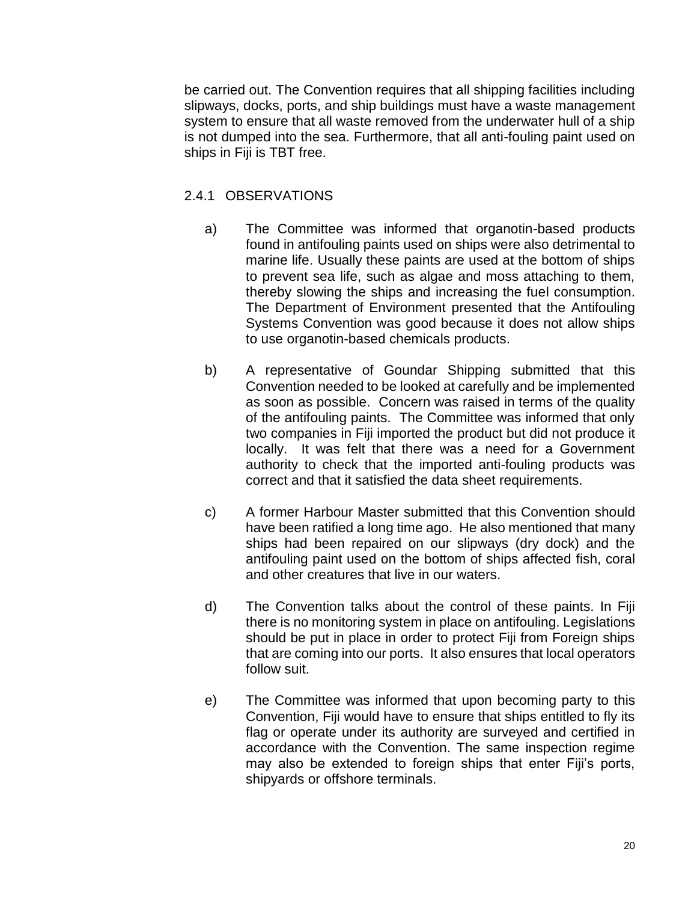be carried out. The Convention requires that all shipping facilities including slipways, docks, ports, and ship buildings must have a waste management system to ensure that all waste removed from the underwater hull of a ship is not dumped into the sea. Furthermore, that all anti-fouling paint used on ships in Fiji is TBT free.

### <span id="page-20-0"></span>2.4.1 OBSERVATIONS

- a) The Committee was informed that organotin-based products found in antifouling paints used on ships were also detrimental to marine life. Usually these paints are used at the bottom of ships to prevent sea life, such as algae and moss attaching to them, thereby slowing the ships and increasing the fuel consumption. The Department of Environment presented that the Antifouling Systems Convention was good because it does not allow ships to use organotin-based chemicals products.
- b) A representative of Goundar Shipping submitted that this Convention needed to be looked at carefully and be implemented as soon as possible. Concern was raised in terms of the quality of the antifouling paints. The Committee was informed that only two companies in Fiji imported the product but did not produce it locally. It was felt that there was a need for a Government authority to check that the imported anti-fouling products was correct and that it satisfied the data sheet requirements.
- c) A former Harbour Master submitted that this Convention should have been ratified a long time ago. He also mentioned that many ships had been repaired on our slipways (dry dock) and the antifouling paint used on the bottom of ships affected fish, coral and other creatures that live in our waters.
- d) The Convention talks about the control of these paints. In Fiji there is no monitoring system in place on antifouling. Legislations should be put in place in order to protect Fiji from Foreign ships that are coming into our ports. It also ensures that local operators follow suit.
- e) The Committee was informed that upon becoming party to this Convention, Fiji would have to ensure that ships entitled to fly its flag or operate under its authority are surveyed and certified in accordance with the Convention. The same inspection regime may also be extended to foreign ships that enter Fiji's ports, shipyards or offshore terminals.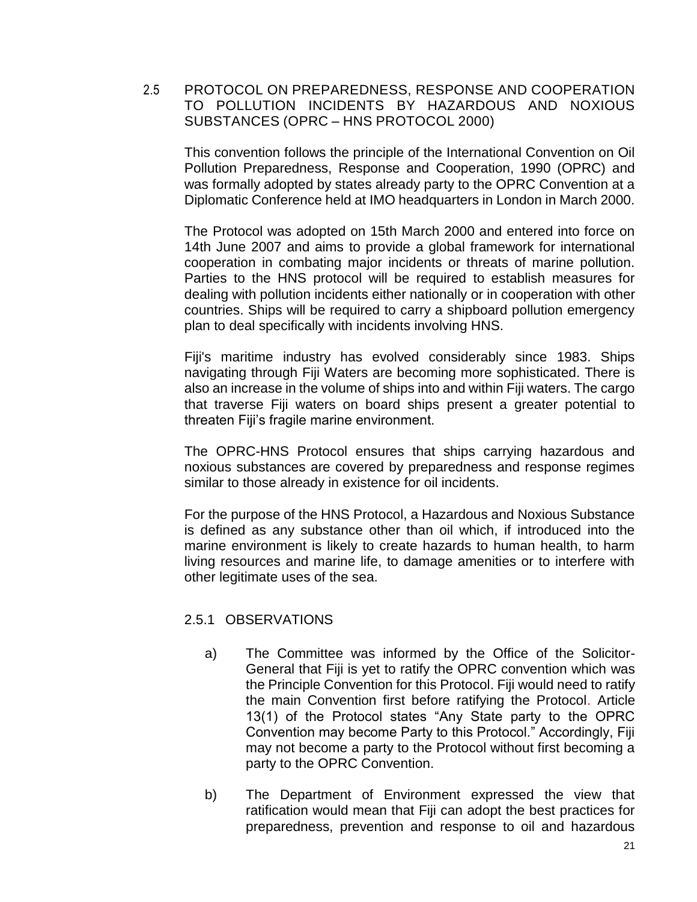<span id="page-21-0"></span>2.5 PROTOCOL ON PREPAREDNESS, RESPONSE AND COOPERATION TO POLLUTION INCIDENTS BY HAZARDOUS AND NOXIOUS SUBSTANCES (OPRC – HNS PROTOCOL 2000)

This convention follows the principle of the International Convention on Oil Pollution Preparedness, Response and Cooperation, 1990 (OPRC) and was formally adopted by states already party to the OPRC Convention at a Diplomatic Conference held at IMO headquarters in London in March 2000.

The Protocol was adopted on 15th March 2000 and entered into force on 14th June 2007 and aims to provide a global framework for international cooperation in combating major incidents or threats of marine pollution. Parties to the HNS protocol will be required to establish measures for dealing with pollution incidents either nationally or in cooperation with other countries. Ships will be required to carry a shipboard pollution emergency plan to deal specifically with incidents involving HNS.

Fiji's maritime industry has evolved considerably since 1983. Ships navigating through Fiji Waters are becoming more sophisticated. There is also an increase in the volume of ships into and within Fiji waters. The cargo that traverse Fiji waters on board ships present a greater potential to threaten Fiji's fragile marine environment.

The OPRC-HNS Protocol ensures that ships carrying hazardous and noxious substances are covered by preparedness and response regimes similar to those already in existence for oil incidents.

For the purpose of the HNS Protocol, a Hazardous and Noxious Substance is defined as any substance other than oil which, if introduced into the marine environment is likely to create hazards to human health, to harm living resources and marine life, to damage amenities or to interfere with other legitimate uses of the sea.

### <span id="page-21-1"></span>2.5.1 OBSERVATIONS

- a) The Committee was informed by the Office of the Solicitor-General that Fiji is yet to ratify the OPRC convention which was the Principle Convention for this Protocol. Fiji would need to ratify the main Convention first before ratifying the Protocol. Article 13(1) of the Protocol states "Any State party to the OPRC Convention may become Party to this Protocol." Accordingly, Fiji may not become a party to the Protocol without first becoming a party to the OPRC Convention.
- b) The Department of Environment expressed the view that ratification would mean that Fiji can adopt the best practices for preparedness, prevention and response to oil and hazardous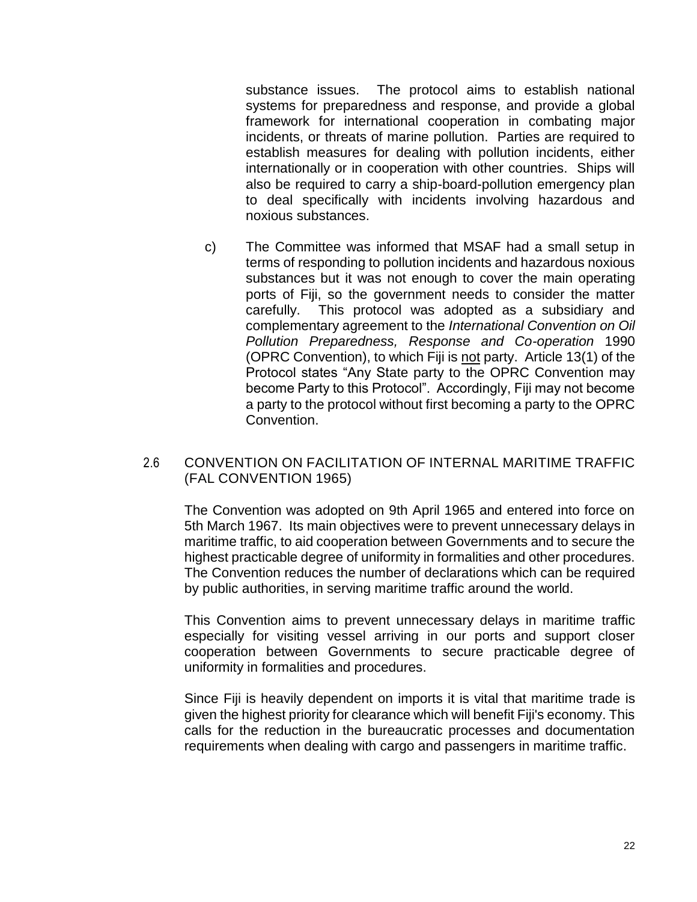substance issues. The protocol aims to establish national systems for preparedness and response, and provide a global framework for international cooperation in combating major incidents, or threats of marine pollution. Parties are required to establish measures for dealing with pollution incidents, either internationally or in cooperation with other countries. Ships will also be required to carry a ship-board-pollution emergency plan to deal specifically with incidents involving hazardous and noxious substances.

c) The Committee was informed that MSAF had a small setup in terms of responding to pollution incidents and hazardous noxious substances but it was not enough to cover the main operating ports of Fiji, so the government needs to consider the matter carefully. This protocol was adopted as a subsidiary and complementary agreement to the *International Convention on Oil Pollution Preparedness, Response and Co-operation* 1990 (OPRC Convention), to which Fiji is not party. Article 13(1) of the Protocol states "Any State party to the OPRC Convention may become Party to this Protocol". Accordingly, Fiji may not become a party to the protocol without first becoming a party to the OPRC Convention.

### <span id="page-22-0"></span>2.6 CONVENTION ON FACILITATION OF INTERNAL MARITIME TRAFFIC (FAL CONVENTION 1965)

The Convention was adopted on 9th April 1965 and entered into force on 5th March 1967. Its main objectives were to prevent unnecessary delays in maritime traffic, to aid cooperation between Governments and to secure the highest practicable degree of uniformity in formalities and other procedures. The Convention reduces the number of declarations which can be required by public authorities, in serving maritime traffic around the world.

This Convention aims to prevent unnecessary delays in maritime traffic especially for visiting vessel arriving in our ports and support closer cooperation between Governments to secure practicable degree of uniformity in formalities and procedures.

Since Fiji is heavily dependent on imports it is vital that maritime trade is given the highest priority for clearance which will benefit Fiji's economy. This calls for the reduction in the bureaucratic processes and documentation requirements when dealing with cargo and passengers in maritime traffic.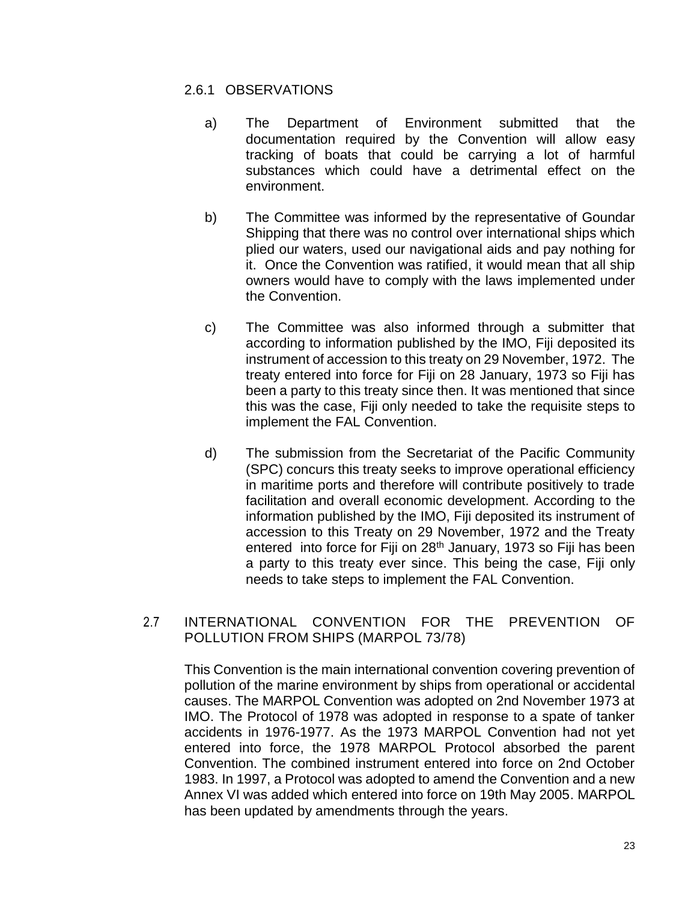#### <span id="page-23-0"></span>2.6.1 OBSERVATIONS

- a) The Department of Environment submitted that the documentation required by the Convention will allow easy tracking of boats that could be carrying a lot of harmful substances which could have a detrimental effect on the environment.
- b) The Committee was informed by the representative of Goundar Shipping that there was no control over international ships which plied our waters, used our navigational aids and pay nothing for it. Once the Convention was ratified, it would mean that all ship owners would have to comply with the laws implemented under the Convention.
- c) The Committee was also informed through a submitter that according to information published by the IMO, Fiji deposited its instrument of accession to this treaty on 29 November, 1972. The treaty entered into force for Fiji on 28 January, 1973 so Fiji has been a party to this treaty since then. It was mentioned that since this was the case, Fiji only needed to take the requisite steps to implement the FAL Convention.
- d) The submission from the Secretariat of the Pacific Community (SPC) concurs this treaty seeks to improve operational efficiency in maritime ports and therefore will contribute positively to trade facilitation and overall economic development. According to the information published by the IMO, Fiji deposited its instrument of accession to this Treaty on 29 November, 1972 and the Treaty entered into force for Fiji on 28<sup>th</sup> January, 1973 so Fiji has been a party to this treaty ever since. This being the case, Fiji only needs to take steps to implement the FAL Convention.

### <span id="page-23-1"></span>2.7 INTERNATIONAL CONVENTION FOR THE PREVENTION OF POLLUTION FROM SHIPS (MARPOL 73/78)

This Convention is the main international convention covering prevention of pollution of the marine environment by ships from operational or accidental causes. The MARPOL Convention was adopted on 2nd November 1973 at IMO. The Protocol of 1978 was adopted in response to a spate of tanker accidents in 1976-1977. As the 1973 MARPOL Convention had not yet entered into force, the 1978 MARPOL Protocol absorbed the parent Convention. The combined instrument entered into force on 2nd October 1983. In 1997, a Protocol was adopted to amend the Convention and a new Annex VI was added which entered into force on 19th May 2005. MARPOL has been updated by amendments through the years.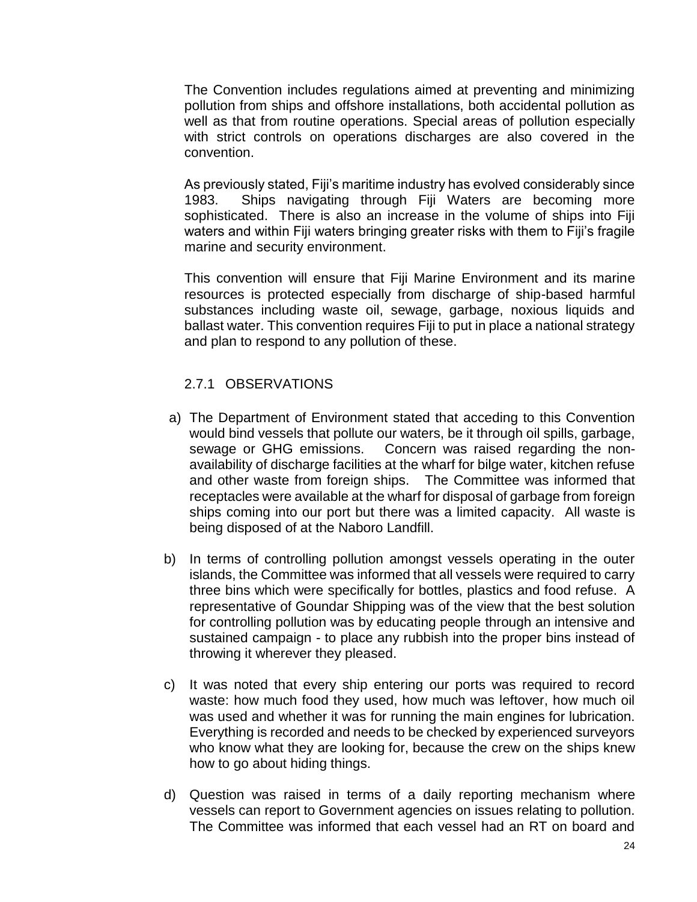The Convention includes regulations aimed at preventing and minimizing pollution from ships and offshore installations, both accidental pollution as well as that from routine operations. Special areas of pollution especially with strict controls on operations discharges are also covered in the convention.

As previously stated, Fiji's maritime industry has evolved considerably since 1983. Ships navigating through Fiji Waters are becoming more sophisticated. There is also an increase in the volume of ships into Fiji waters and within Fiji waters bringing greater risks with them to Fiji's fragile marine and security environment.

This convention will ensure that Fiji Marine Environment and its marine resources is protected especially from discharge of ship-based harmful substances including waste oil, sewage, garbage, noxious liquids and ballast water. This convention requires Fiji to put in place a national strategy and plan to respond to any pollution of these.

#### <span id="page-24-0"></span>2.7.1 OBSERVATIONS

- a) The Department of Environment stated that acceding to this Convention would bind vessels that pollute our waters, be it through oil spills, garbage, sewage or GHG emissions. Concern was raised regarding the nonavailability of discharge facilities at the wharf for bilge water, kitchen refuse and other waste from foreign ships. The Committee was informed that receptacles were available at the wharf for disposal of garbage from foreign ships coming into our port but there was a limited capacity. All waste is being disposed of at the Naboro Landfill.
- b) In terms of controlling pollution amongst vessels operating in the outer islands, the Committee was informed that all vessels were required to carry three bins which were specifically for bottles, plastics and food refuse. A representative of Goundar Shipping was of the view that the best solution for controlling pollution was by educating people through an intensive and sustained campaign - to place any rubbish into the proper bins instead of throwing it wherever they pleased.
- c) It was noted that every ship entering our ports was required to record waste: how much food they used, how much was leftover, how much oil was used and whether it was for running the main engines for lubrication. Everything is recorded and needs to be checked by experienced surveyors who know what they are looking for, because the crew on the ships knew how to go about hiding things.
- d) Question was raised in terms of a daily reporting mechanism where vessels can report to Government agencies on issues relating to pollution. The Committee was informed that each vessel had an RT on board and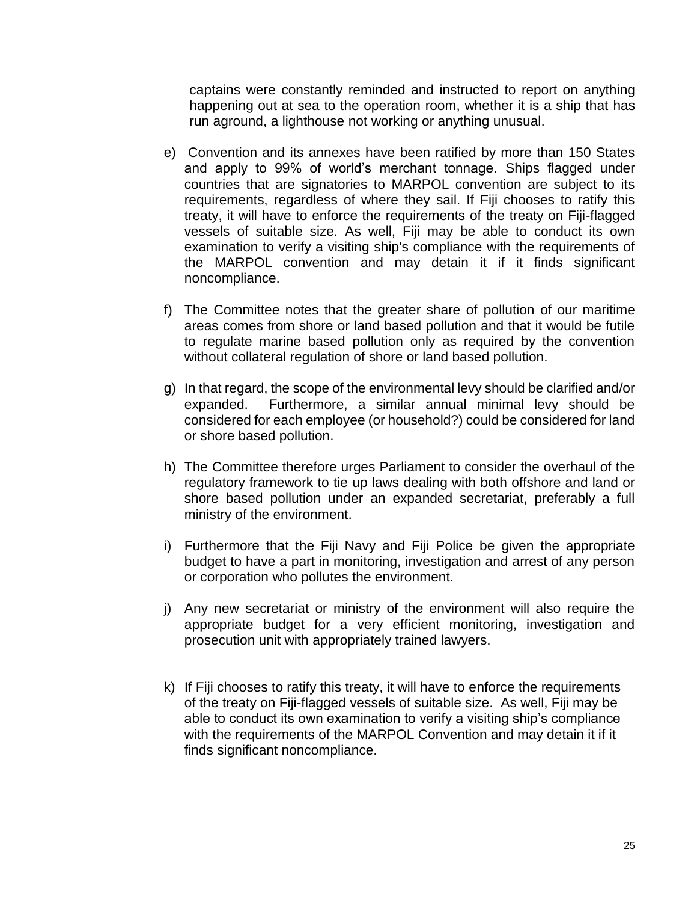captains were constantly reminded and instructed to report on anything happening out at sea to the operation room, whether it is a ship that has run aground, a lighthouse not working or anything unusual.

- e) Convention and its annexes have been ratified by more than 150 States and apply to 99% of world's merchant tonnage. Ships flagged under countries that are signatories to MARPOL convention are subject to its requirements, regardless of where they sail. If Fiji chooses to ratify this treaty, it will have to enforce the requirements of the treaty on Fiji-flagged vessels of suitable size. As well, Fiji may be able to conduct its own examination to verify a visiting ship's compliance with the requirements of the MARPOL convention and may detain it if it finds significant noncompliance.
- f) The Committee notes that the greater share of pollution of our maritime areas comes from shore or land based pollution and that it would be futile to regulate marine based pollution only as required by the convention without collateral regulation of shore or land based pollution.
- g) In that regard, the scope of the environmental levy should be clarified and/or expanded. Furthermore, a similar annual minimal levy should be considered for each employee (or household?) could be considered for land or shore based pollution.
- h) The Committee therefore urges Parliament to consider the overhaul of the regulatory framework to tie up laws dealing with both offshore and land or shore based pollution under an expanded secretariat, preferably a full ministry of the environment.
- i) Furthermore that the Fiji Navy and Fiji Police be given the appropriate budget to have a part in monitoring, investigation and arrest of any person or corporation who pollutes the environment.
- j) Any new secretariat or ministry of the environment will also require the appropriate budget for a very efficient monitoring, investigation and prosecution unit with appropriately trained lawyers.
- k) If Fiji chooses to ratify this treaty, it will have to enforce the requirements of the treaty on Fiji-flagged vessels of suitable size. As well, Fiji may be able to conduct its own examination to verify a visiting ship's compliance with the requirements of the MARPOL Convention and may detain it if it finds significant noncompliance.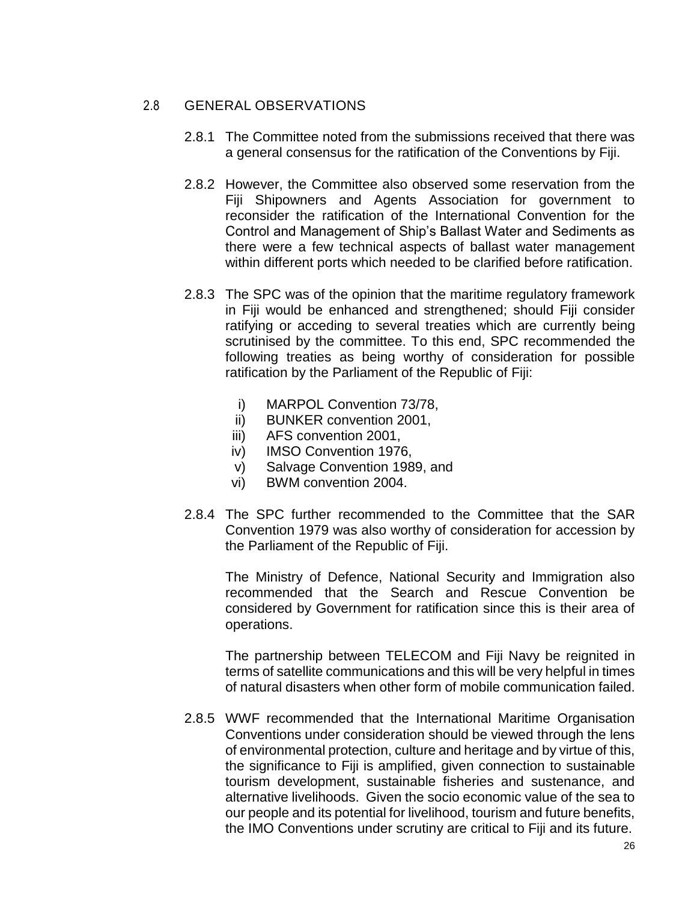## <span id="page-26-0"></span>2.8 GENERAL OBSERVATIONS

- 2.8.1 The Committee noted from the submissions received that there was a general consensus for the ratification of the Conventions by Fiji.
- 2.8.2 However, the Committee also observed some reservation from the Fiji Shipowners and Agents Association for government to reconsider the ratification of the International Convention for the Control and Management of Ship's Ballast Water and Sediments as there were a few technical aspects of ballast water management within different ports which needed to be clarified before ratification.
- 2.8.3 The SPC was of the opinion that the maritime regulatory framework in Fiji would be enhanced and strengthened; should Fiji consider ratifying or acceding to several treaties which are currently being scrutinised by the committee. To this end, SPC recommended the following treaties as being worthy of consideration for possible ratification by the Parliament of the Republic of Fiji:
	- i) MARPOL Convention 73/78,
	- ii) BUNKER convention 2001,
	- iii) AFS convention 2001,
	- iv) IMSO Convention 1976,
	- v) Salvage Convention 1989, and
	- vi) BWM convention 2004.
- 2.8.4 The SPC further recommended to the Committee that the SAR Convention 1979 was also worthy of consideration for accession by the Parliament of the Republic of Fiji.

The Ministry of Defence, National Security and Immigration also recommended that the Search and Rescue Convention be considered by Government for ratification since this is their area of operations.

The partnership between TELECOM and Fiji Navy be reignited in terms of satellite communications and this will be very helpful in times of natural disasters when other form of mobile communication failed.

2.8.5 WWF recommended that the International Maritime Organisation Conventions under consideration should be viewed through the lens of environmental protection, culture and heritage and by virtue of this, the significance to Fiji is amplified, given connection to sustainable tourism development, sustainable fisheries and sustenance, and alternative livelihoods. Given the socio economic value of the sea to our people and its potential for livelihood, tourism and future benefits, the IMO Conventions under scrutiny are critical to Fiji and its future.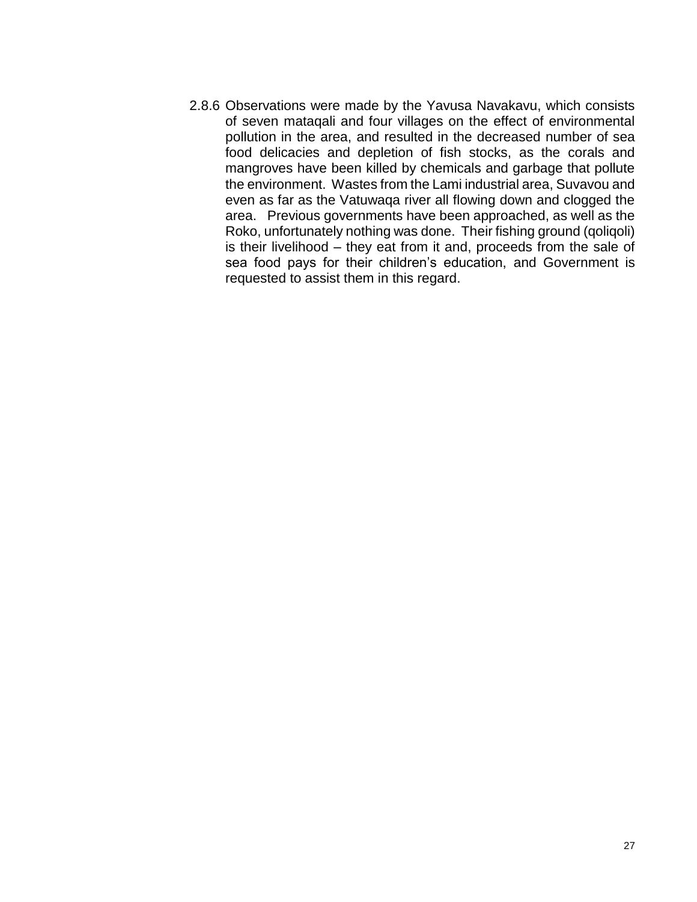2.8.6 Observations were made by the Yavusa Navakavu, which consists of seven mataqali and four villages on the effect of environmental pollution in the area, and resulted in the decreased number of sea food delicacies and depletion of fish stocks, as the corals and mangroves have been killed by chemicals and garbage that pollute the environment. Wastes from the Lami industrial area, Suvavou and even as far as the Vatuwaqa river all flowing down and clogged the area. Previous governments have been approached, as well as the Roko, unfortunately nothing was done. Their fishing ground (qoliqoli) is their livelihood – they eat from it and, proceeds from the sale of sea food pays for their children's education, and Government is requested to assist them in this regard.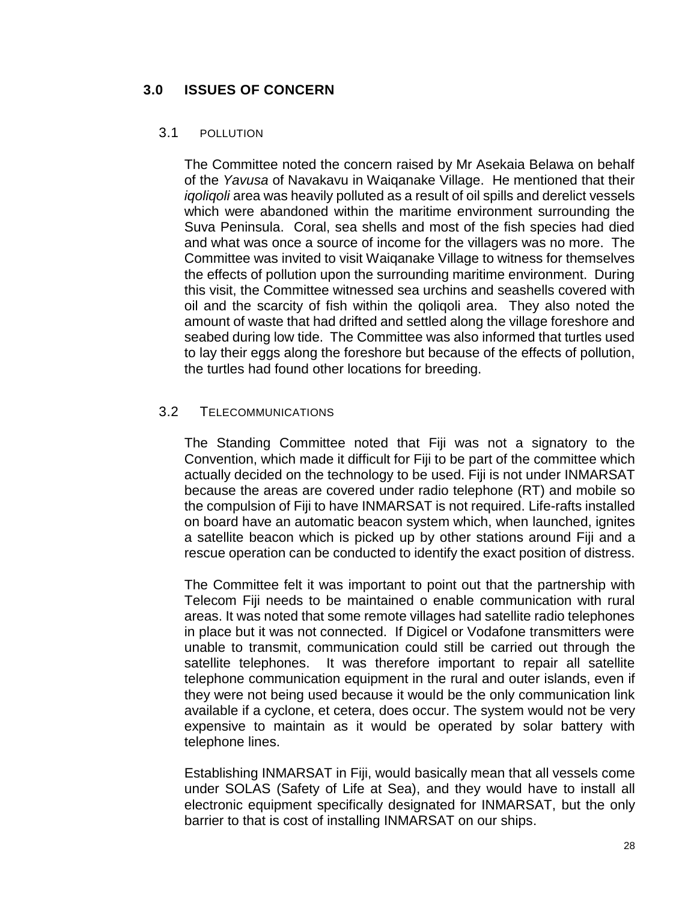### <span id="page-28-0"></span>**3.0 ISSUES OF CONCERN**

#### <span id="page-28-1"></span>3.1 POLLUTION

The Committee noted the concern raised by Mr Asekaia Belawa on behalf of the *Yavusa* of Navakavu in Waiqanake Village. He mentioned that their *iqoliqoli* area was heavily polluted as a result of oil spills and derelict vessels which were abandoned within the maritime environment surrounding the Suva Peninsula. Coral, sea shells and most of the fish species had died and what was once a source of income for the villagers was no more. The Committee was invited to visit Waiqanake Village to witness for themselves the effects of pollution upon the surrounding maritime environment. During this visit, the Committee witnessed sea urchins and seashells covered with oil and the scarcity of fish within the qoliqoli area. They also noted the amount of waste that had drifted and settled along the village foreshore and seabed during low tide. The Committee was also informed that turtles used to lay their eggs along the foreshore but because of the effects of pollution, the turtles had found other locations for breeding.

#### <span id="page-28-2"></span>3.2 TELECOMMUNICATIONS

The Standing Committee noted that Fiji was not a signatory to the Convention, which made it difficult for Fiji to be part of the committee which actually decided on the technology to be used. Fiji is not under INMARSAT because the areas are covered under radio telephone (RT) and mobile so the compulsion of Fiji to have INMARSAT is not required. Life-rafts installed on board have an automatic beacon system which, when launched, ignites a satellite beacon which is picked up by other stations around Fiji and a rescue operation can be conducted to identify the exact position of distress.

The Committee felt it was important to point out that the partnership with Telecom Fiji needs to be maintained o enable communication with rural areas. It was noted that some remote villages had satellite radio telephones in place but it was not connected. If Digicel or Vodafone transmitters were unable to transmit, communication could still be carried out through the satellite telephones. It was therefore important to repair all satellite telephone communication equipment in the rural and outer islands, even if they were not being used because it would be the only communication link available if a cyclone, et cetera, does occur. The system would not be very expensive to maintain as it would be operated by solar battery with telephone lines.

Establishing INMARSAT in Fiji, would basically mean that all vessels come under SOLAS (Safety of Life at Sea), and they would have to install all electronic equipment specifically designated for INMARSAT, but the only barrier to that is cost of installing INMARSAT on our ships.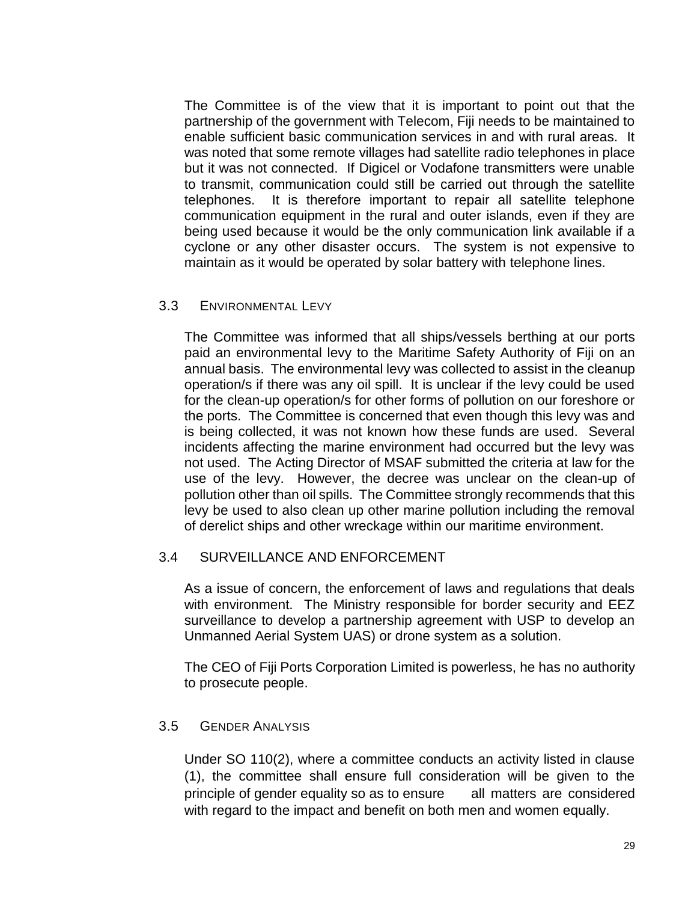The Committee is of the view that it is important to point out that the partnership of the government with Telecom, Fiji needs to be maintained to enable sufficient basic communication services in and with rural areas. It was noted that some remote villages had satellite radio telephones in place but it was not connected. If Digicel or Vodafone transmitters were unable to transmit, communication could still be carried out through the satellite telephones. It is therefore important to repair all satellite telephone communication equipment in the rural and outer islands, even if they are being used because it would be the only communication link available if a cyclone or any other disaster occurs. The system is not expensive to maintain as it would be operated by solar battery with telephone lines.

#### <span id="page-29-0"></span>3.3 ENVIRONMENTAL LEVY

The Committee was informed that all ships/vessels berthing at our ports paid an environmental levy to the Maritime Safety Authority of Fiji on an annual basis. The environmental levy was collected to assist in the cleanup operation/s if there was any oil spill. It is unclear if the levy could be used for the clean-up operation/s for other forms of pollution on our foreshore or the ports. The Committee is concerned that even though this levy was and is being collected, it was not known how these funds are used. Several incidents affecting the marine environment had occurred but the levy was not used. The Acting Director of MSAF submitted the criteria at law for the use of the levy. However, the decree was unclear on the clean-up of pollution other than oil spills. The Committee strongly recommends that this levy be used to also clean up other marine pollution including the removal of derelict ships and other wreckage within our maritime environment.

### 3.4 SURVEILLANCE AND ENFORCEMENT

As a issue of concern, the enforcement of laws and regulations that deals with environment. The Ministry responsible for border security and EEZ surveillance to develop a partnership agreement with USP to develop an Unmanned Aerial System UAS) or drone system as a solution.

The CEO of Fiji Ports Corporation Limited is powerless, he has no authority to prosecute people.

#### <span id="page-29-1"></span>3.5 GENDER ANALYSIS

Under SO 110(2), where a committee conducts an activity listed in clause (1), the committee shall ensure full consideration will be given to the principle of gender equality so as to ensure all matters are considered with regard to the impact and benefit on both men and women equally.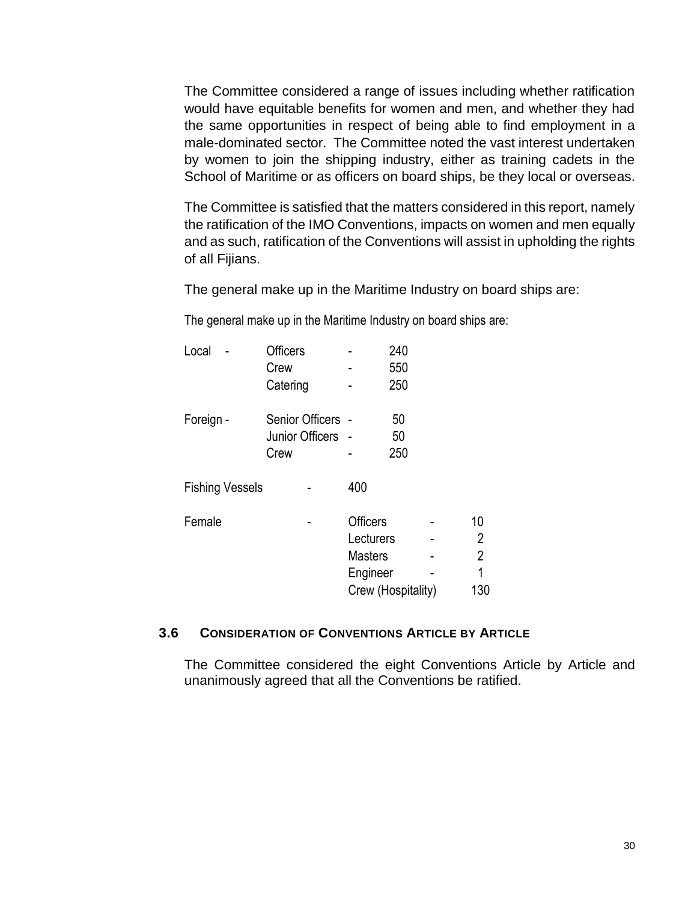The Committee considered a range of issues including whether ratification would have equitable benefits for women and men, and whether they had the same opportunities in respect of being able to find employment in a male-dominated sector. The Committee noted the vast interest undertaken by women to join the shipping industry, either as training cadets in the School of Maritime or as officers on board ships, be they local or overseas.

The Committee is satisfied that the matters considered in this report, namely the ratification of the IMO Conventions, impacts on women and men equally and as such, ratification of the Conventions will assist in upholding the rights of all Fijians.

The general make up in the Maritime Industry on board ships are:

The general make up in the Maritime Industry on board ships are:

| Local                  | <b>Officers</b>   |                 | 240                |                |
|------------------------|-------------------|-----------------|--------------------|----------------|
|                        | Crew              |                 | 550                |                |
|                        | Catering          |                 | 250                |                |
| Foreign -              | Senior Officers - |                 | 50                 |                |
|                        | Junior Officers   |                 | 50                 |                |
|                        | Crew              |                 | 250                |                |
| <b>Fishing Vessels</b> |                   | 400             |                    |                |
| Female                 |                   | <b>Officers</b> |                    | 10             |
|                        |                   | Lecturers       |                    | 2              |
|                        |                   | <b>Masters</b>  |                    | $\overline{2}$ |
|                        |                   | Engineer        |                    | 1              |
|                        |                   |                 | Crew (Hospitality) | 130            |

#### <span id="page-30-0"></span>**3.6 CONSIDERATION OF CONVENTIONS ARTICLE BY ARTICLE**

The Committee considered the eight Conventions Article by Article and unanimously agreed that all the Conventions be ratified.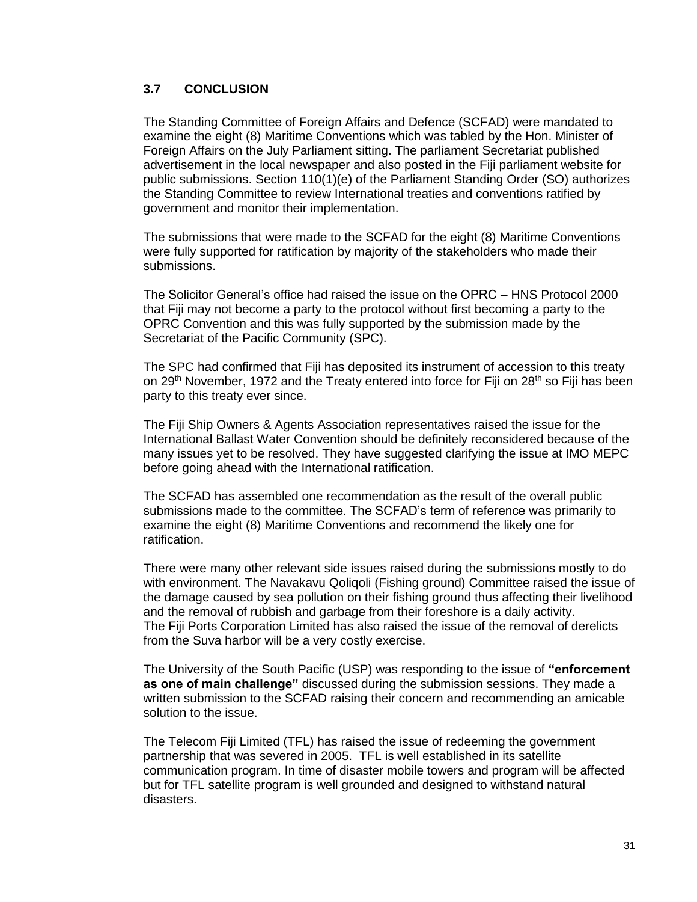#### **3.7 CONCLUSION**

The Standing Committee of Foreign Affairs and Defence (SCFAD) were mandated to examine the eight (8) Maritime Conventions which was tabled by the Hon. Minister of Foreign Affairs on the July Parliament sitting. The parliament Secretariat published advertisement in the local newspaper and also posted in the Fiji parliament website for public submissions. Section 110(1)(e) of the Parliament Standing Order (SO) authorizes the Standing Committee to review International treaties and conventions ratified by government and monitor their implementation.

The submissions that were made to the SCFAD for the eight (8) Maritime Conventions were fully supported for ratification by majority of the stakeholders who made their submissions.

The Solicitor General's office had raised the issue on the OPRC – HNS Protocol 2000 that Fiji may not become a party to the protocol without first becoming a party to the OPRC Convention and this was fully supported by the submission made by the Secretariat of the Pacific Community (SPC).

The SPC had confirmed that Fiji has deposited its instrument of accession to this treaty on 29<sup>th</sup> November, 1972 and the Treaty entered into force for Fiji on 28<sup>th</sup> so Fiji has been party to this treaty ever since.

The Fiji Ship Owners & Agents Association representatives raised the issue for the International Ballast Water Convention should be definitely reconsidered because of the many issues yet to be resolved. They have suggested clarifying the issue at IMO MEPC before going ahead with the International ratification.

The SCFAD has assembled one recommendation as the result of the overall public submissions made to the committee. The SCFAD's term of reference was primarily to examine the eight (8) Maritime Conventions and recommend the likely one for ratification.

There were many other relevant side issues raised during the submissions mostly to do with environment. The Navakavu Qoliqoli (Fishing ground) Committee raised the issue of the damage caused by sea pollution on their fishing ground thus affecting their livelihood and the removal of rubbish and garbage from their foreshore is a daily activity. The Fiji Ports Corporation Limited has also raised the issue of the removal of derelicts from the Suva harbor will be a very costly exercise.

The University of the South Pacific (USP) was responding to the issue of **"enforcement as one of main challenge"** discussed during the submission sessions. They made a written submission to the SCFAD raising their concern and recommending an amicable solution to the issue.

The Telecom Fiji Limited (TFL) has raised the issue of redeeming the government partnership that was severed in 2005. TFL is well established in its satellite communication program. In time of disaster mobile towers and program will be affected but for TFL satellite program is well grounded and designed to withstand natural disasters.